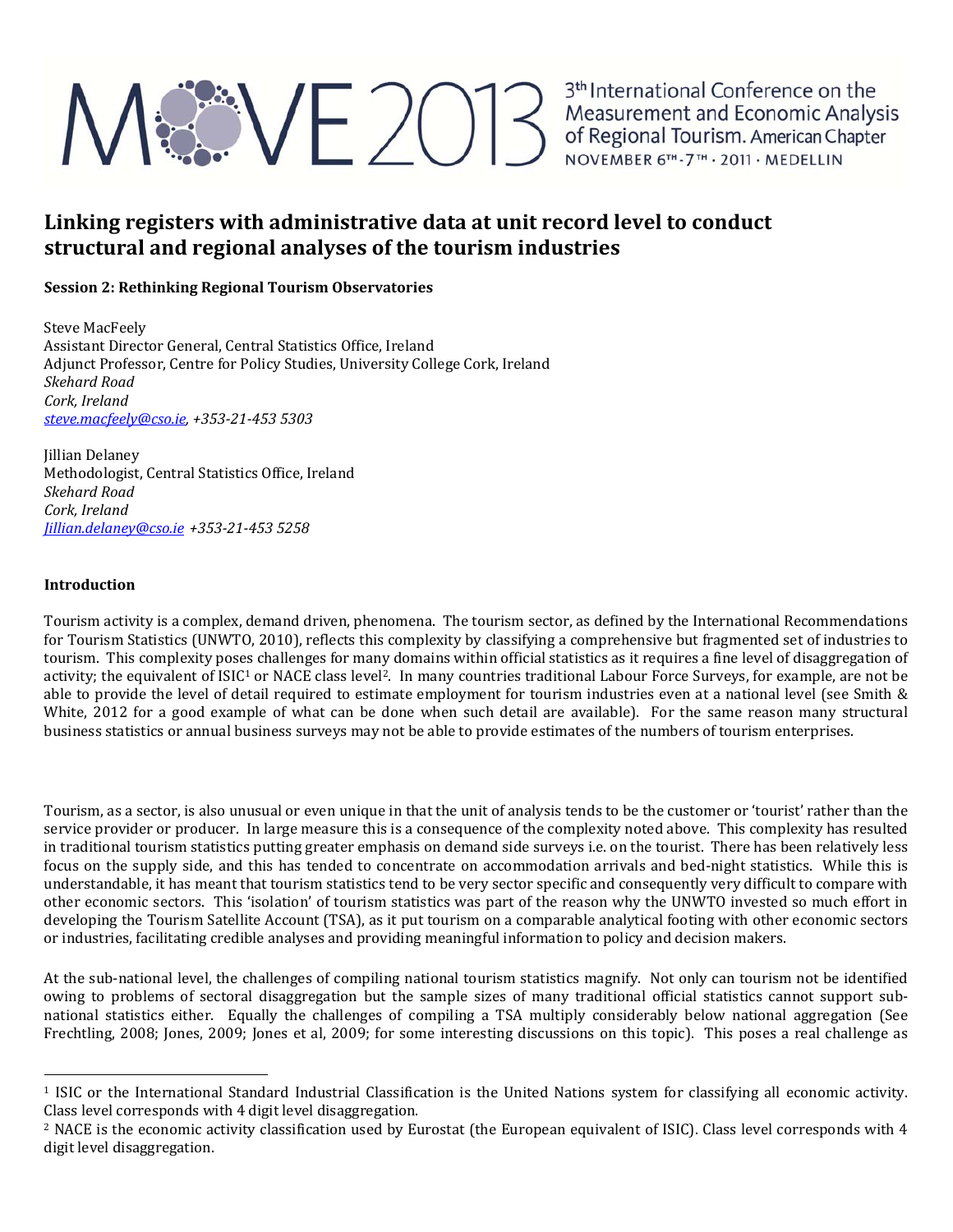# ME 2013<sup>3th</sup> International Conference on the<br>Measurement and Economic Analysis<br>of Regional Tourism. American Chapter<br>NOVEMBER 6TH-7TH - 2011 - MEDELLIN

### **Linking registers with administrative data at unit record level to conduct structural and regional analyses of the tourism industries**

### **Session 2: Rethinking Regional Tourism Observatories**

Steve MacFeely Assistant Director General, Central Statistics Office, Ireland Adjunct Professor, Centre for Policy Studies, University College Cork, Ireland *Skehard Road Cork, Ireland steve.macfeely@cso.ie, +353‐21‐453 5303*

Jillian Delaney Methodologist, Central Statistics Office, Ireland *Skehard Road Cork, Ireland Jillian.delaney@cso.ie +353‐21‐453 5258*

### **Introduction**

Tourism activity is a complex, demand driven, phenomena. The tourism sector, as defined by the International Recommendations for Tourism Statistics (UNWTO, 2010), reflects this complexity by classifying a comprehensive but fragmented set of industries to tourism. This complexity poses challenges for many domains within official statistics as it requires a fine level of disaggregation of activity; the equivalent of ISIC<sup>1</sup> or NACE class level<sup>2</sup>. In many countries traditional Labour Force Surveys, for example, are not be able to provide the level of detail required to estimate employment for tourism industries even at a national level (see Smith & White, 2012 for a good example of what can be done when such detail are available). For the same reason many structural business statistics or annual business surveys may not be able to provide estimates of the numbers of tourism enterprises.

Tourism, as a sector, is also unusual or even unique in that the unit of analysis tends to be the customer or 'tourist' rather than the service provider or producer. In large measure this is a consequence of the complexity noted above. This complexity has resulted in traditional tourism statistics putting greater emphasis on demand side surveys i.e. on the tourist. There has been relatively less focus on the supply side, and this has tended to concentrate on accommodation arrivals and bed-night statistics. While this is understandable, it has meant that tourism statistics tend to be very sector specific and consequently very difficult to compare with other economic sectors. This 'isolation' of tourism statistics was part of the reason why the UNWTO invested so much effort in developing the Tourism Satellite Account (TSA), as it put tourism on a comparable analytical footing with other economic sectors or industries, facilitating credible analyses and providing meaningful information to policy and decision makers.

At the sub-national level, the challenges of compiling national tourism statistics magnify. Not only can tourism not be identified owing to problems of sectoral disaggregation but the sample sizes of many traditional official statistics cannot support subnational statistics either. Equally the challenges of compiling a TSA multiply considerably below national aggregation (See Frechtling, 2008; Jones, 2009; Jones et al, 2009; for some interesting discussions on this topic). This poses a real challenge as

 $1$  ISIC or the International Standard Industrial Classification is the United Nations system for classifying all economic activity. Class level corresponds with 4 digit level disaggregation.

<sup>&</sup>lt;sup>2</sup> NACE is the economic activity classification used by Eurostat (the European equivalent of ISIC). Class level corresponds with 4 digit level disaggregation.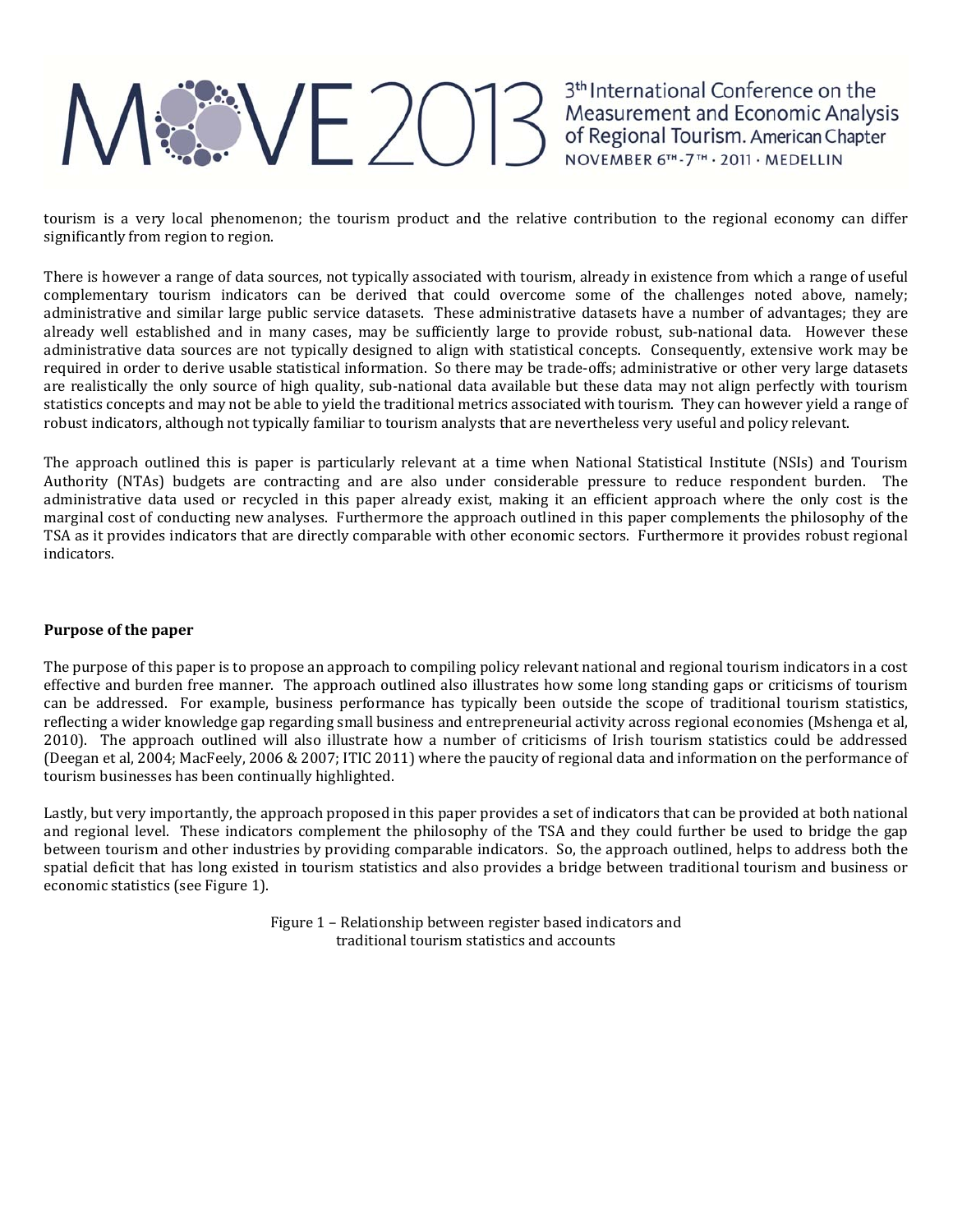## ME 2013 Measurement and Economic Analysis<br>of Regional Tourism. American Chapter<br>NOVEMBER 6TH-7TH - 2011 - MEDELLIN

tourism is a very local phenomenon; the tourism product and the relative contribution to the regional economy can differ significantly from region to region.

There is however a range of data sources, not typically associated with tourism, already in existence from which a range of useful complementary tourism indicators can be derived that could overcome some of the challenges noted above, namely; administrative and similar large public service datasets. These administrative datasets have a number of advantages; they are already well established and in many cases, may be sufficiently large to provide robust, sub-national data. However these administrative data sources are not typically designed to align with statistical concepts. Consequently, extensive work may be required in order to derive usable statistical information. So there may be trade-offs; administrative or other very large datasets are realistically the only source of high quality, sub-national data available but these data may not align perfectly with tourism statistics concepts and may not be able to yield the traditional metrics associated with tourism. They can however yield a range of robust indicators, although not typically familiar to tourism analysts that are nevertheless very useful and policy relevant.

The approach outlined this is paper is particularly relevant at a time when National Statistical Institute (NSIs) and Tourism Authority (NTAs) budgets are contracting and are also under considerable pressure to reduce respondent burden. The administrative data used or recycled in this paper already exist, making it an efficient approach where the only cost is the marginal cost of conducting new analyses. Furthermore the approach outlined in this paper complements the philosophy of the TSA as it provides indicators that are directly comparable with other economic sectors. Furthermore it provides robust regional indicators. 

### **Purpose of the paper**

The purpose of this paper is to propose an approach to compiling policy relevant national and regional tourism indicators in a cost effective and burden free manner. The approach outlined also illustrates how some long standing gaps or criticisms of tourism can be addressed. For example, business performance has typically been outside the scope of traditional tourism statistics, reflecting a wider knowledge gap regarding small business and entrepreneurial activity across regional economies (Mshenga et al, 2010). The approach outlined will also illustrate how a number of criticisms of Irish tourism statistics could be addressed (Deegan et al, 2004; MacFeely, 2006 & 2007; ITIC 2011) where the paucity of regional data and information on the performance of tourism businesses has been continually highlighted.

Lastly, but very importantly, the approach proposed in this paper provides a set of indicators that can be provided at both national and regional level. These indicators complement the philosophy of the TSA and they could further be used to bridge the gap between tourism and other industries by providing comparable indicators. So, the approach outlined, helps to address both the spatial deficit that has long existed in tourism statistics and also provides a bridge between traditional tourism and business or economic statistics (see Figure 1).

> Figure 1 - Relationship between register based indicators and traditional tourism statistics and accounts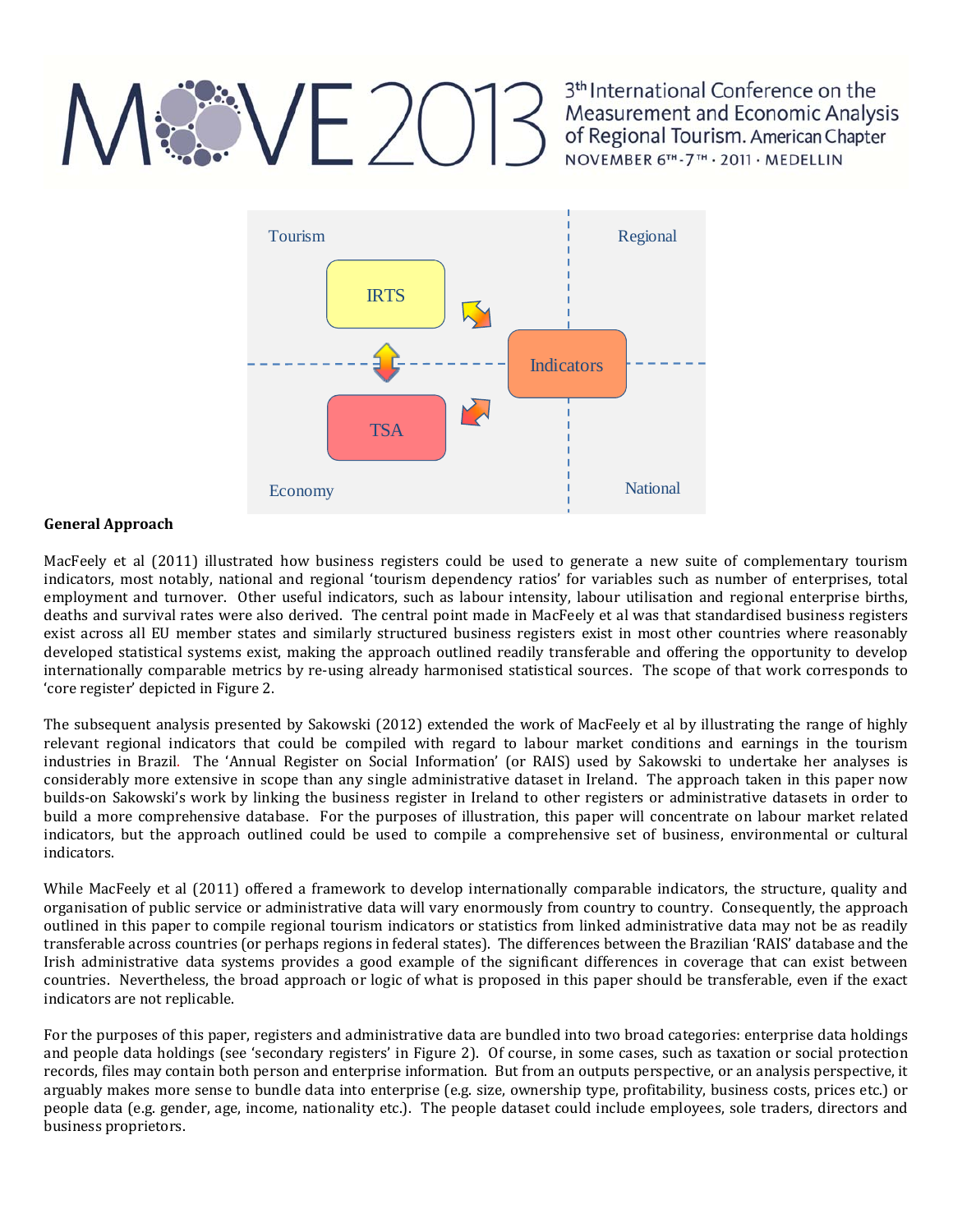## $VFX$

3<sup>th</sup> International Conference on the Measurement and Economic Analysis of Regional Tourism. American Chapter NOVEMBER 6TH-7TH · 2011 · MEDELLIN



#### **General Approach**

MacFeely et al (2011) illustrated how business registers could be used to generate a new suite of complementary tourism indicators, most notably, national and regional 'tourism dependency ratios' for variables such as number of enterprises, total employment and turnover. Other useful indicators, such as labour intensity, labour utilisation and regional enterprise births, deaths and survival rates were also derived. The central point made in MacFeely et al was that standardised business registers exist across all EU member states and similarly structured business registers exist in most other countries where reasonably developed statistical systems exist, making the approach outlined readily transferable and offering the opportunity to develop internationally comparable metrics by re-using already harmonised statistical sources. The scope of that work corresponds to 'core register' depicted in Figure 2.

The subsequent analysis presented by Sakowski (2012) extended the work of MacFeely et al by illustrating the range of highly relevant regional indicators that could be compiled with regard to labour market conditions and earnings in the tourism industries in Brazil. The 'Annual Register on Social Information' (or RAIS) used by Sakowski to undertake her analyses is considerably more extensive in scope than any single administrative dataset in Ireland. The approach taken in this paper now builds-on Sakowski's work by linking the business register in Ireland to other registers or administrative datasets in order to build a more comprehensive database. For the purposes of illustration, this paper will concentrate on labour market related indicators, but the approach outlined could be used to compile a comprehensive set of business, environmental or cultural indicators. 

While MacFeely et al (2011) offered a framework to develop internationally comparable indicators, the structure, quality and organisation of public service or administrative data will vary enormously from country to country. Consequently, the approach outlined in this paper to compile regional tourism indicators or statistics from linked administrative data may not be as readily transferable across countries (or perhaps regions in federal states). The differences between the Brazilian 'RAIS' database and the Irish administrative data systems provides a good example of the significant differences in coverage that can exist between countries. Nevertheless, the broad approach or logic of what is proposed in this paper should be transferable, even if the exact indicators are not replicable.

For the purposes of this paper, registers and administrative data are bundled into two broad categories: enterprise data holdings and people data holdings (see 'secondary registers' in Figure 2). Of course, in some cases, such as taxation or social protection records, files may contain both person and enterprise information. But from an outputs perspective, or an analysis perspective, it arguably makes more sense to bundle data into enterprise (e.g. size, ownership type, profitability, business costs, prices etc.) or people data (e.g. gender, age, income, nationality etc.). The people dataset could include employees, sole traders, directors and business proprietors.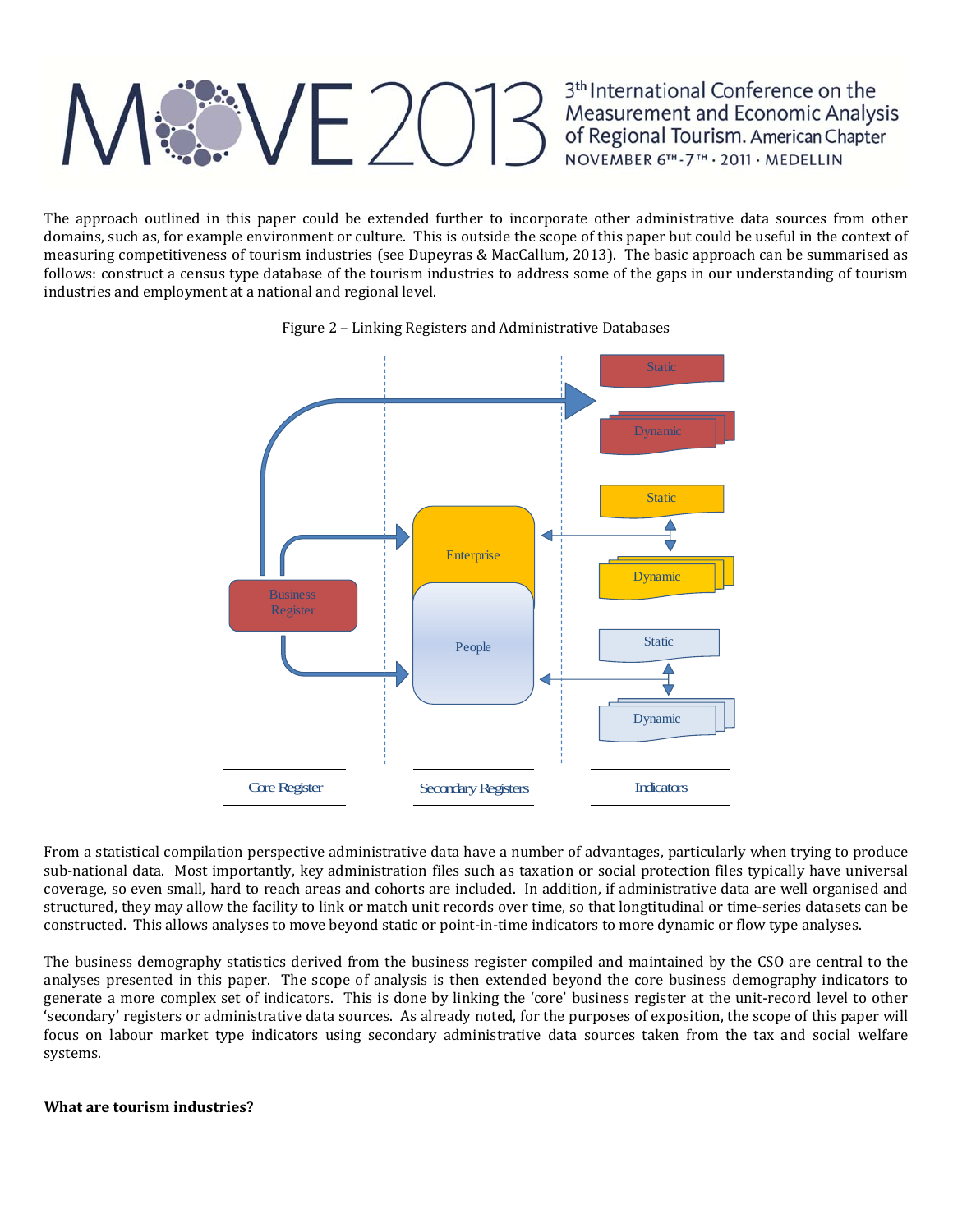## $\langle \sqrt{E}/E \rangle$

3<sup>th</sup> International Conference on the Measurement and Economic Analysis of Regional Tourism. American Chapter NOVEMBER 6TH-7TH · 2011 · MEDELLIN

The approach outlined in this paper could be extended further to incorporate other administrative data sources from other domains, such as, for example environment or culture. This is outside the scope of this paper but could be useful in the context of measuring competitiveness of tourism industries (see Dupeyras & MacCallum, 2013). The basic approach can be summarised as follows: construct a census type database of the tourism industries to address some of the gaps in our understanding of tourism industries and employment at a national and regional level.



Figure 2 - Linking Registers and Administrative Databases

From a statistical compilation perspective administrative data have a number of advantages, particularly when trying to produce sub-national data. Most importantly, key administration files such as taxation or social protection files typically have universal coverage, so even small, hard to reach areas and cohorts are included. In addition, if administrative data are well organised and structured, they may allow the facility to link or match unit records over time, so that longtitudinal or time-series datasets can be constructed. This allows analyses to move beyond static or point-in-time indicators to more dynamic or flow type analyses.

The business demography statistics derived from the business register compiled and maintained by the CSO are central to the analyses presented in this paper. The scope of analysis is then extended beyond the core business demography indicators to generate a more complex set of indicators. This is done by linking the 'core' business register at the unit-record level to other 'secondary' registers or administrative data sources. As already noted, for the purposes of exposition, the scope of this paper will focus on labour market type indicators using secondary administrative data sources taken from the tax and social welfare systems. 

### **What are tourism industries?**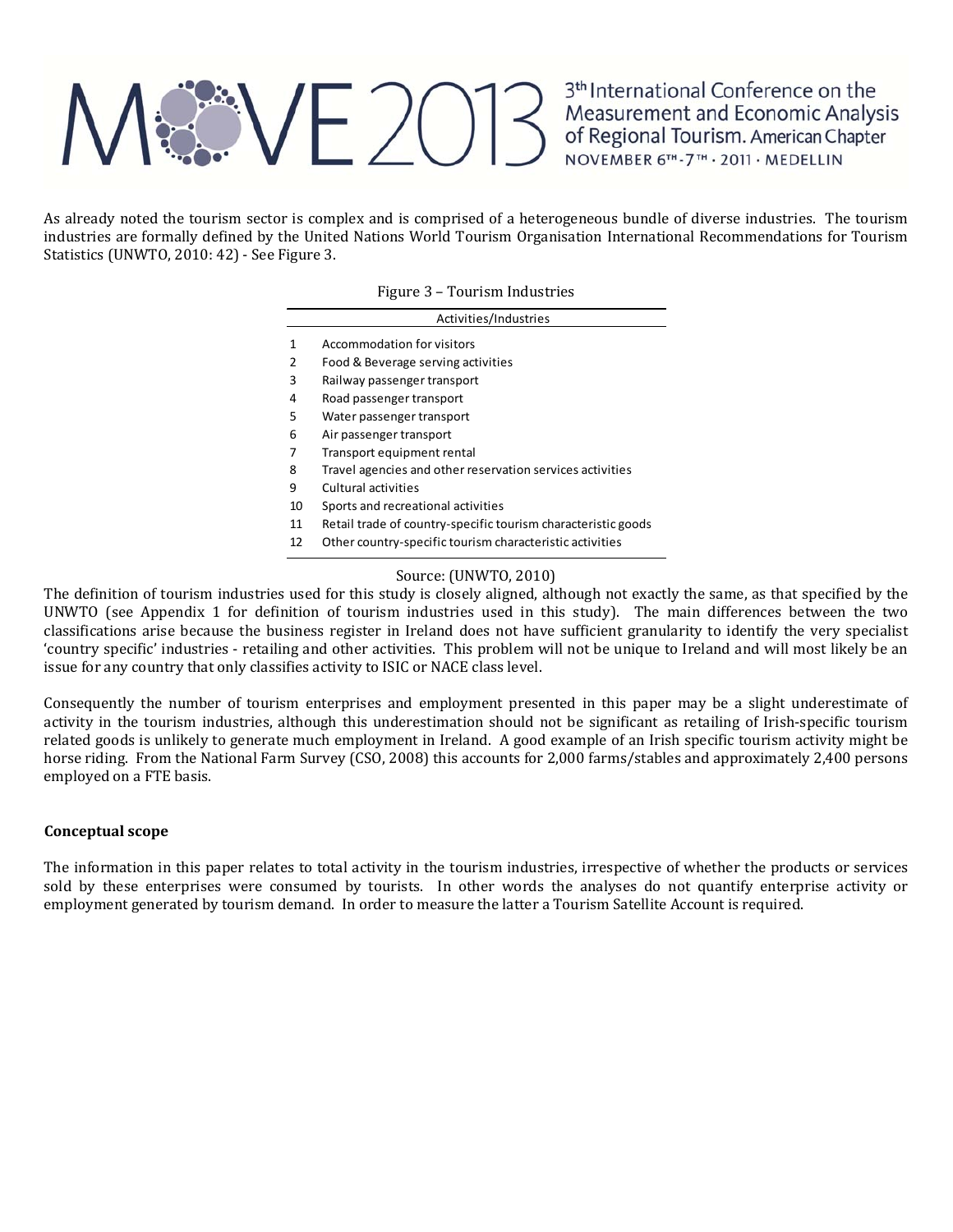## **REZOT3**

3<sup>th</sup> International Conference on the Measurement and Economic Analysis<br>of Regional Tourism. American Chapter<br>NOVEMBER 6<sup>TH</sup>-7<sup>TH</sup> · 2011 · MEDELLIN

As already noted the tourism sector is complex and is comprised of a heterogeneous bundle of diverse industries. The tourism industries are formally defined by the United Nations World Tourism Organisation International Recommendations for Tourism Statistics (UNWTO, 2010: 42) - See Figure 3.

|              | Activities/Industries                                         |
|--------------|---------------------------------------------------------------|
| $\mathbf{1}$ | Accommodation for visitors                                    |
| 2            | Food & Beverage serving activities                            |
| 3            | Railway passenger transport                                   |
| 4            | Road passenger transport                                      |
| 5            | Water passenger transport                                     |
| 6            | Air passenger transport                                       |
| 7            | Transport equipment rental                                    |
| 8            | Travel agencies and other reservation services activities     |
| 9            | Cultural activities                                           |
| 10           | Sports and recreational activities                            |
| 11           | Retail trade of country-specific tourism characteristic goods |
| 12           | Other country-specific tourism characteristic activities      |

### Source: (UNWTO, 2010)

The definition of tourism industries used for this study is closely aligned, although not exactly the same, as that specified by the UNWTO (see Appendix 1 for definition of tourism industries used in this study). The main differences between the two classifications arise because the business register in Ireland does not have sufficient granularity to identify the very specialist 'country specific' industries - retailing and other activities. This problem will not be unique to Ireland and will most likely be an issue for any country that only classifies activity to ISIC or NACE class level.

Consequently the number of tourism enterprises and employment presented in this paper may be a slight underestimate of activity in the tourism industries, although this underestimation should not be significant as retailing of Irish-specific tourism related goods is unlikely to generate much employment in Ireland. A good example of an Irish specific tourism activity might be horse riding. From the National Farm Survey (CSO, 2008) this accounts for 2,000 farms/stables and approximately 2,400 persons employed on a FTE basis.

### **Conceptual scope**

The information in this paper relates to total activity in the tourism industries, irrespective of whether the products or services sold by these enterprises were consumed by tourists. In other words the analyses do not quantify enterprise activity or employment generated by tourism demand. In order to measure the latter a Tourism Satellite Account is required.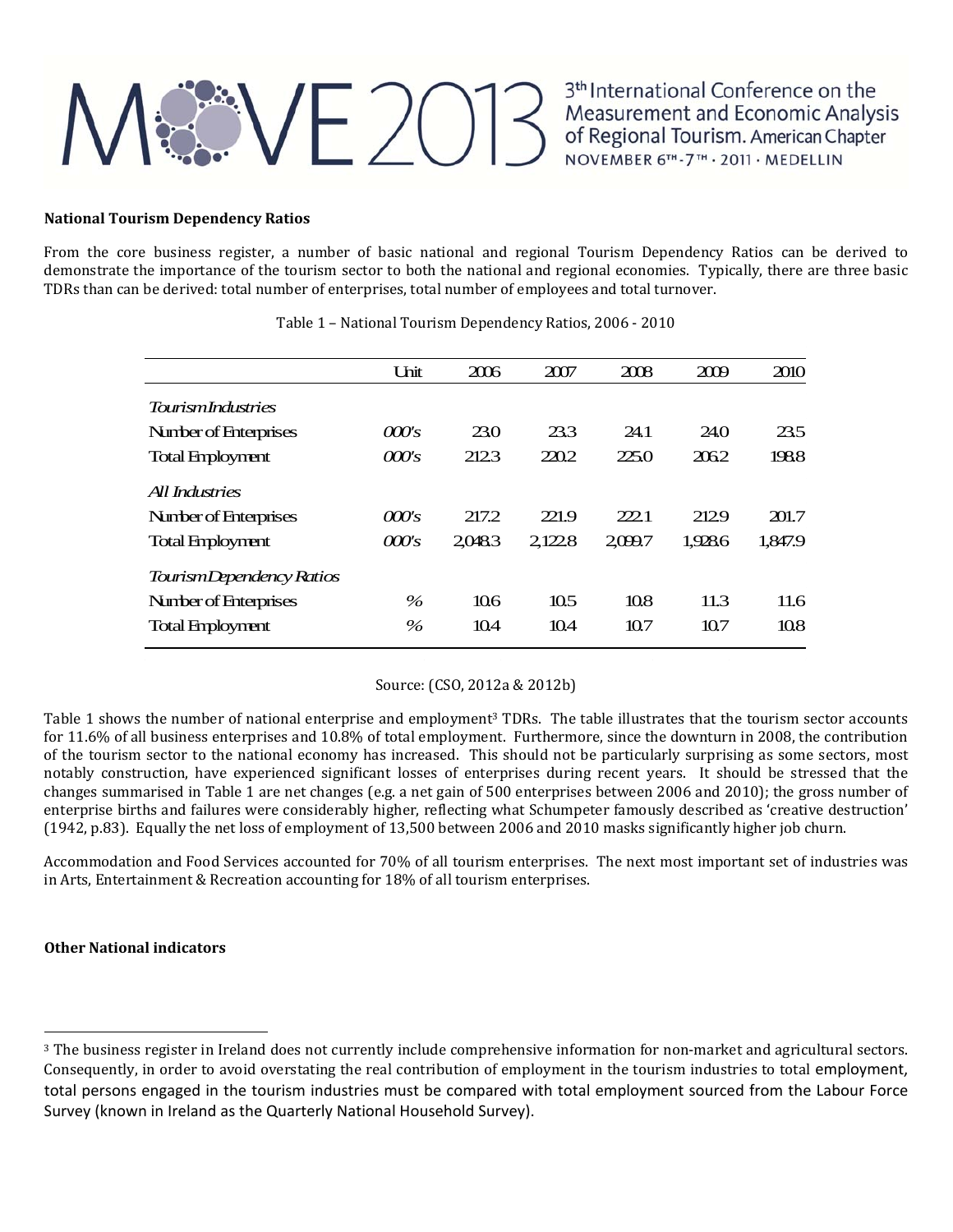### **Alternational Conference on the Measurement and Economic Analysis**<br>of Regional Tourism. American Chapter<br>NOVEMBER 6<sup>TH</sup>-7<sup>TH</sup> - 2011 · MEDELLIN

3<sup>th</sup> International Conference on the

### **National Tourism Dependency Ratios**

From the core business register, a number of basic national and regional Tourism Dependency Ratios can be derived to demonstrate the importance of the tourism sector to both the national and regional economies. Typically, there are three basic TDRs than can be derived: total number of enterprises, total number of employees and total turnover.

|                          | <b>Unit</b> | 2006            | 2007  | 2008   | 2009    | 2010    |
|--------------------------|-------------|-----------------|-------|--------|---------|---------|
| TourismIndustries        |             |                 |       |        |         |         |
| Number of Enterprises    | 000's       | 23.0            | 23.3  | 24.1   | 24.O    | 23.5    |
| <b>Total Employment</b>  | 000's       | 212.3           | 220.2 | 225.0  | 2062    | 1988    |
| All Industries           |             |                 |       |        |         |         |
| Number of Enterprises    | 000's       | 217.2           | 221.9 | 222.1  | 2129    | 201.7   |
| <b>Total Employment</b>  | 000's       | 20483           | 21228 | 2099.7 | 1.928.6 | 1,847.9 |
| TourismDependency Ratios |             |                 |       |        |         |         |
| Number of Enterprises    | $\%$        | 10 <sub>6</sub> | 10.5  | 108    | 11.3    | 11.6    |
| <b>Total Employment</b>  | $\%$        | 104             | 104   | 10.7   | 10.7    | 10.8    |

Table 1 - National Tourism Dependency Ratios, 2006 - 2010

### Source: (CSO, 2012a & 2012b)

Table 1 shows the number of national enterprise and employment<sup>3</sup> TDRs. The table illustrates that the tourism sector accounts for 11.6% of all business enterprises and 10.8% of total employment. Furthermore, since the downturn in 2008, the contribution of the tourism sector to the national economy has increased. This should not be particularly surprising as some sectors, most notably construction, have experienced significant losses of enterprises during recent years. It should be stressed that the changes summarised in Table 1 are net changes (e.g. a net gain of 500 enterprises between 2006 and 2010); the gross number of enterprise births and failures were considerably higher, reflecting what Schumpeter famously described as 'creative destruction'  $(1942, p.83)$ . Equally the net loss of employment of 13,500 between 2006 and 2010 masks significantly higher job churn.

Accommodation and Food Services accounted for 70% of all tourism enterprises. The next most important set of industries was in Arts, Entertainment & Recreation accounting for 18% of all tourism enterprises.

### **Other National indicators**

<sup>&</sup>lt;sup>3</sup> The business register in Ireland does not currently include comprehensive information for non-market and agricultural sectors. Consequently, in order to avoid overstating the real contribution of employment in the tourism industries to total employment, total persons engaged in the tourism industries must be compared with total employment sourced from the Labour Force Survey (known in Ireland as the Quarterly National Household Survey).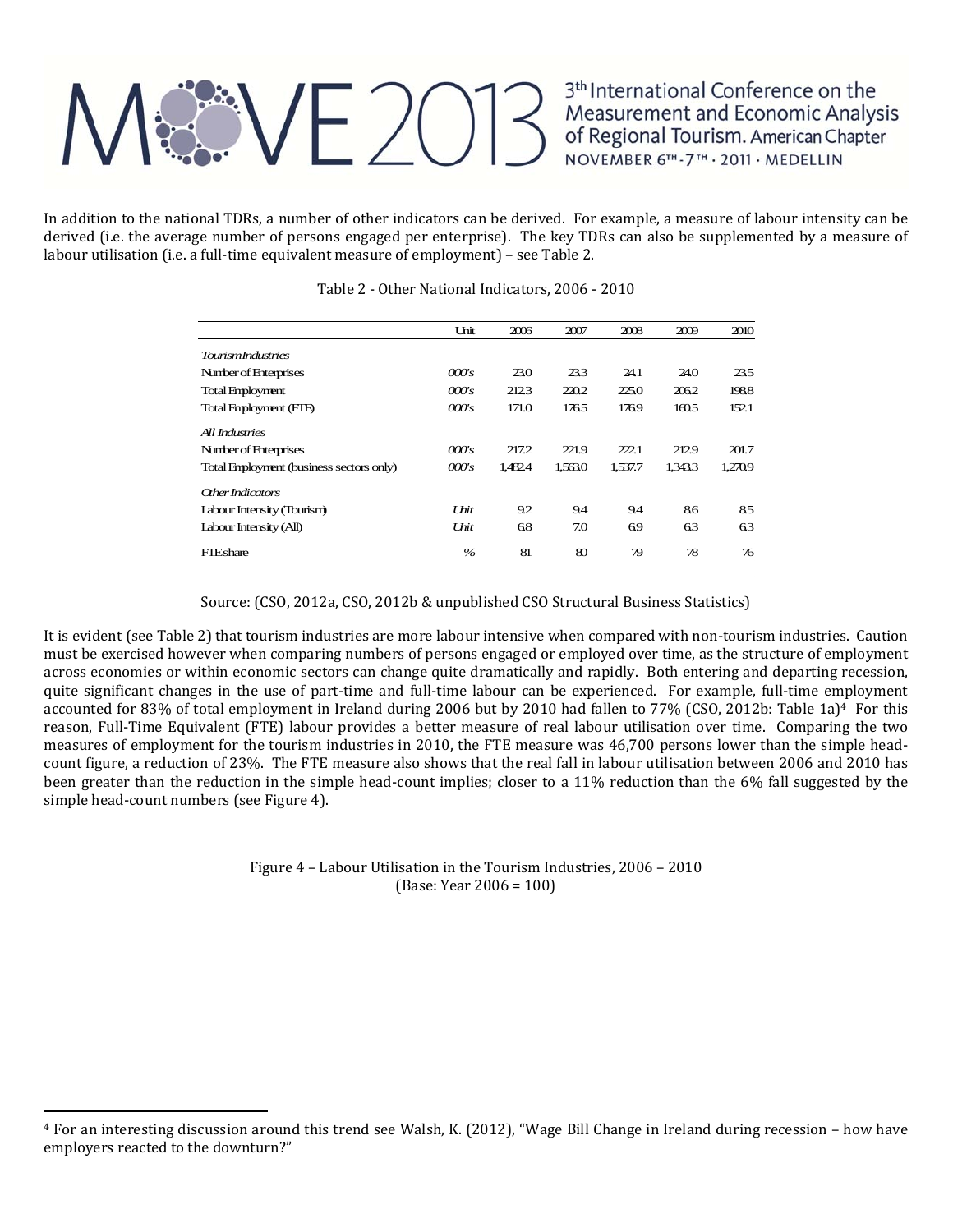## $|\mathcal{X} \setminus E(0)| \}$

3<sup>th</sup> International Conference on the Measurement and Economic Analysis<br>of Regional Tourism. American Chapter<br>NOVEMBER 6<sup>TH</sup>-7<sup>TH</sup> · 2011 · MEDELLIN

In addition to the national TDRs, a number of other indicators can be derived. For example, a measure of labour intensity can be derived (i.e. the average number of persons engaged per enterprise). The key TDRs can also be supplemented by a measure of labour utilisation (i.e. a full-time equivalent measure of employment) – see Table 2.

|                                          | Unit                  | 2006    | 2007    | 2008    | 2009    | 2010    |
|------------------------------------------|-----------------------|---------|---------|---------|---------|---------|
| <b>TowismIndustries</b>                  |                       |         |         |         |         |         |
| Number of Enterprises                    | 000's                 | 23.0    | 23.3    | 24.1    | 24.0    | 23.5    |
| <b>Total Employment</b>                  | $\omega$              | 2123    | 220.2   | 225.0   | 2062    | 1988    |
| Total Employment (FIE)                   | 000's                 | 171.0   | 1765    | 1769    | 1605    | 152.1   |
| All Industries                           |                       |         |         |         |         |         |
| Number of Enterprises                    | $\omega$              | 217.2   | 221.9   | 222.1   | 2129    | 201.7   |
| Total Employment (business sectors only) | $\omega$ <sub>s</sub> | 1.482.4 | 1.563.0 | 1,537.7 | 1.343.3 | 1.270.9 |
| <b>Other Indicators</b>                  |                       |         |         |         |         |         |
| Labour Intensity (Tourism)               | Unit                  | 9.2     | 9.4     | 9.4     | 86      | 85      |
| Labour Intensity (All)                   | Unit                  | 68      | 7.0     | 69      | 63      | 63      |
| FIEshare                                 | $\%$                  | 81      | 80      | 79      | 78      | 76      |
|                                          |                       |         |         |         |         |         |

#### Table 2 - Other National Indicators, 2006 - 2010

Source: (CSO, 2012a, CSO, 2012b & unpublished CSO Structural Business Statistics)

It is evident (see Table 2) that tourism industries are more labour intensive when compared with non-tourism industries. Caution must be exercised however when comparing numbers of persons engaged or employed over time, as the structure of employment across economies or within economic sectors can change quite dramatically and rapidly. Both entering and departing recession, quite significant changes in the use of part-time and full-time labour can be experienced. For example, full-time employment accounted for 83% of total employment in Ireland during 2006 but by 2010 had fallen to 77% (CSO, 2012b: Table 1a)<sup>4</sup> For this reason, Full-Time Equivalent (FTE) labour provides a better measure of real labour utilisation over time. Comparing the two measures of employment for the tourism industries in 2010, the FTE measure was 46,700 persons lower than the simple headcount figure, a reduction of 23%. The FTE measure also shows that the real fall in labour utilisation between 2006 and 2010 has been greater than the reduction in the simple head-count implies; closer to a 11% reduction than the  $6\%$  fall suggested by the simple head-count numbers (see Figure 4).

> Figure  $4$  – Labour Utilisation in the Tourism Industries,  $2006 - 2010$  $(Base: Year 2006 = 100)$

 $4$  For an interesting discussion around this trend see Walsh, K. (2012), "Wage Bill Change in Ireland during recession – how have employers reacted to the downturn?"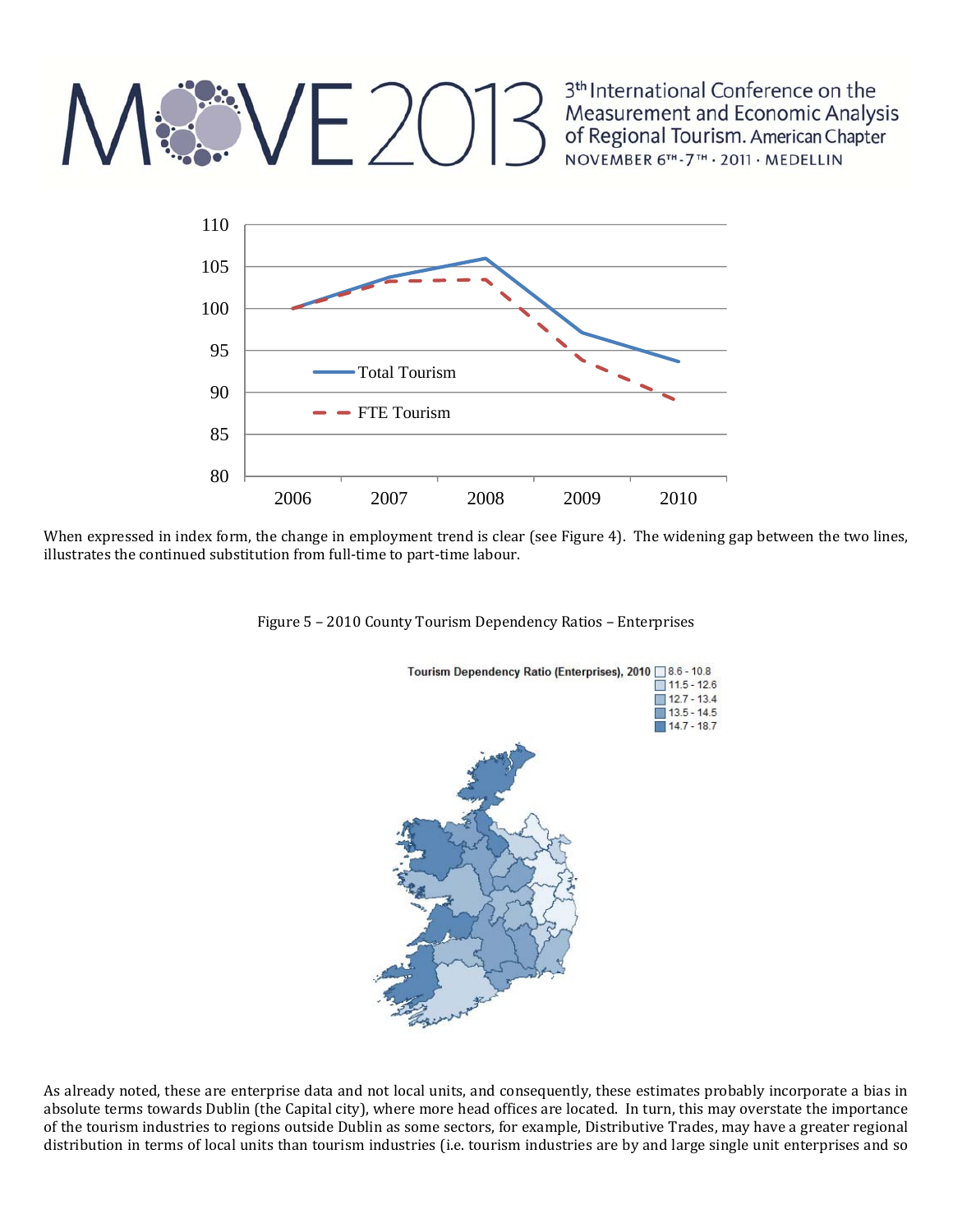### $VEZO13$

3<sup>th</sup> International Conference on the Measurement and Economic Analysis of Regional Tourism. American Chapter<br>NOVEMBER 6<sup>TH</sup>-7<sup>TH</sup> · 2011 · MEDELLIN



When expressed in index form, the change in employment trend is clear (see Figure 4). The widening gap between the two lines, illustrates the continued substitution from full-time to part-time labour.





As already noted, these are enterprise data and not local units, and consequently, these estimates probably incorporate a bias in absolute terms towards Dublin (the Capital city), where more head offices are located. In turn, this may overstate the importance of the tourism industries to regions outside Dublin as some sectors, for example, Distributive Trades, may have a greater regional distribution in terms of local units than tourism industries (i.e. tourism industries are by and large single unit enterprises and so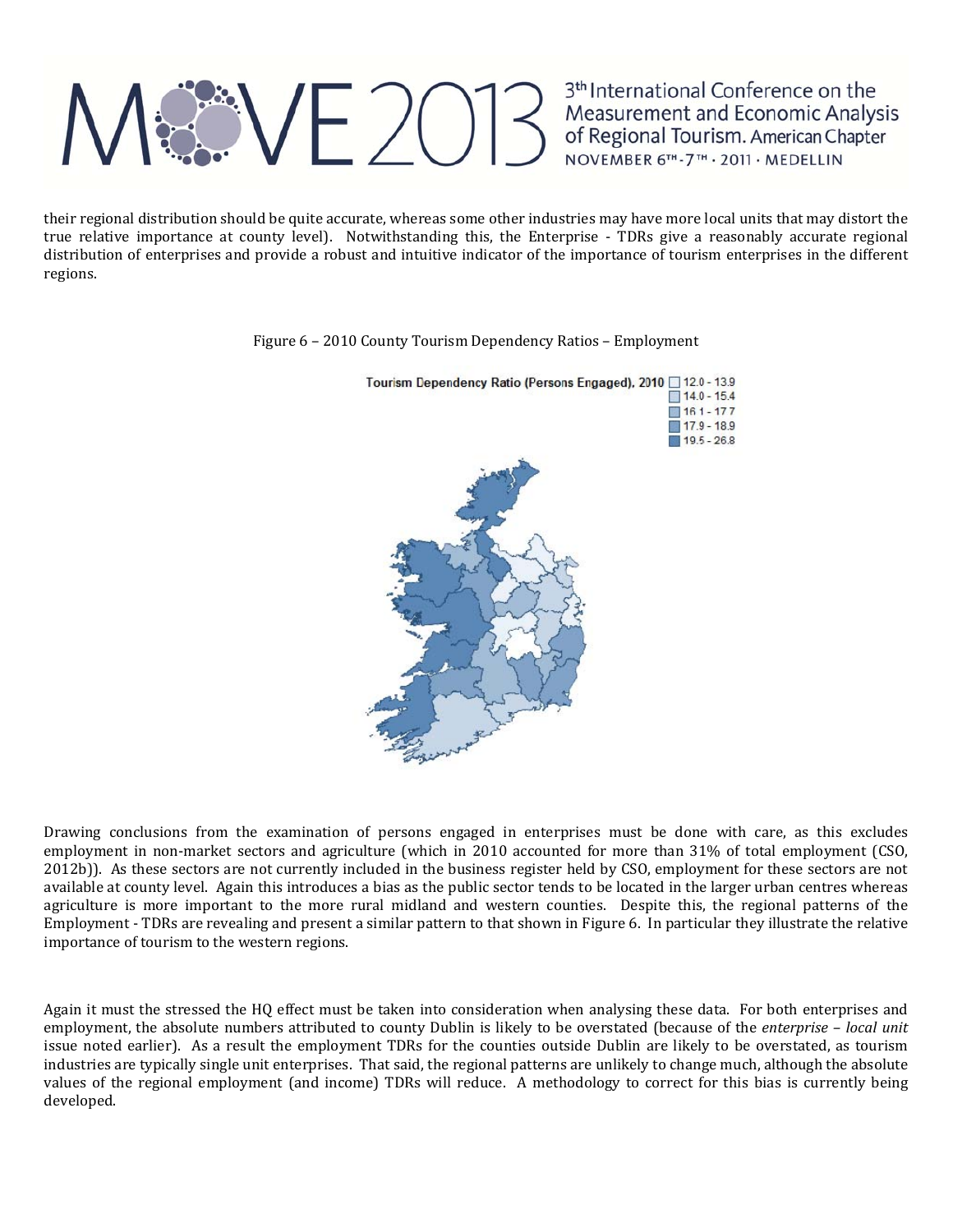### Measurement and Economic Analysis<br>Measurement and Economic Analysis<br>of Regional Tourism. American Chapter<br>NOVEMBER 6<sup>TH</sup>-7<sup>TH</sup> - 2011 · MEDELLIN

3<sup>th</sup> International Conference on the

their regional distribution should be quite accurate, whereas some other industries may have more local units that may distort the true relative importance at county level). Notwithstanding this, the Enterprise - TDRs give a reasonably accurate regional distribution of enterprises and provide a robust and intuitive indicator of the importance of tourism enterprises in the different regions. 



Figure 6 - 2010 County Tourism Dependency Ratios - Employment

Drawing conclusions from the examination of persons engaged in enterprises must be done with care, as this excludes employment in non-market sectors and agriculture (which in 2010 accounted for more than  $31\%$  of total employment (CSO, 2012b)). As these sectors are not currently included in the business register held by CSO, employment for these sectors are not available at county level. Again this introduces a bias as the public sector tends to be located in the larger urban centres whereas agriculture is more important to the more rural midland and western counties. Despite this, the regional patterns of the Employment - TDRs are revealing and present a similar pattern to that shown in Figure 6. In particular they illustrate the relative importance of tourism to the western regions.

Again it must the stressed the HQ effect must be taken into consideration when analysing these data. For both enterprises and employment, the absolute numbers attributed to county Dublin is likely to be overstated (because of the *enterprise - local unit* issue noted earlier). As a result the employment TDRs for the counties outside Dublin are likely to be overstated, as tourism industries are typically single unit enterprises. That said, the regional patterns are unlikely to change much, although the absolute values of the regional employment (and income) TDRs will reduce. A methodology to correct for this bias is currently being developed.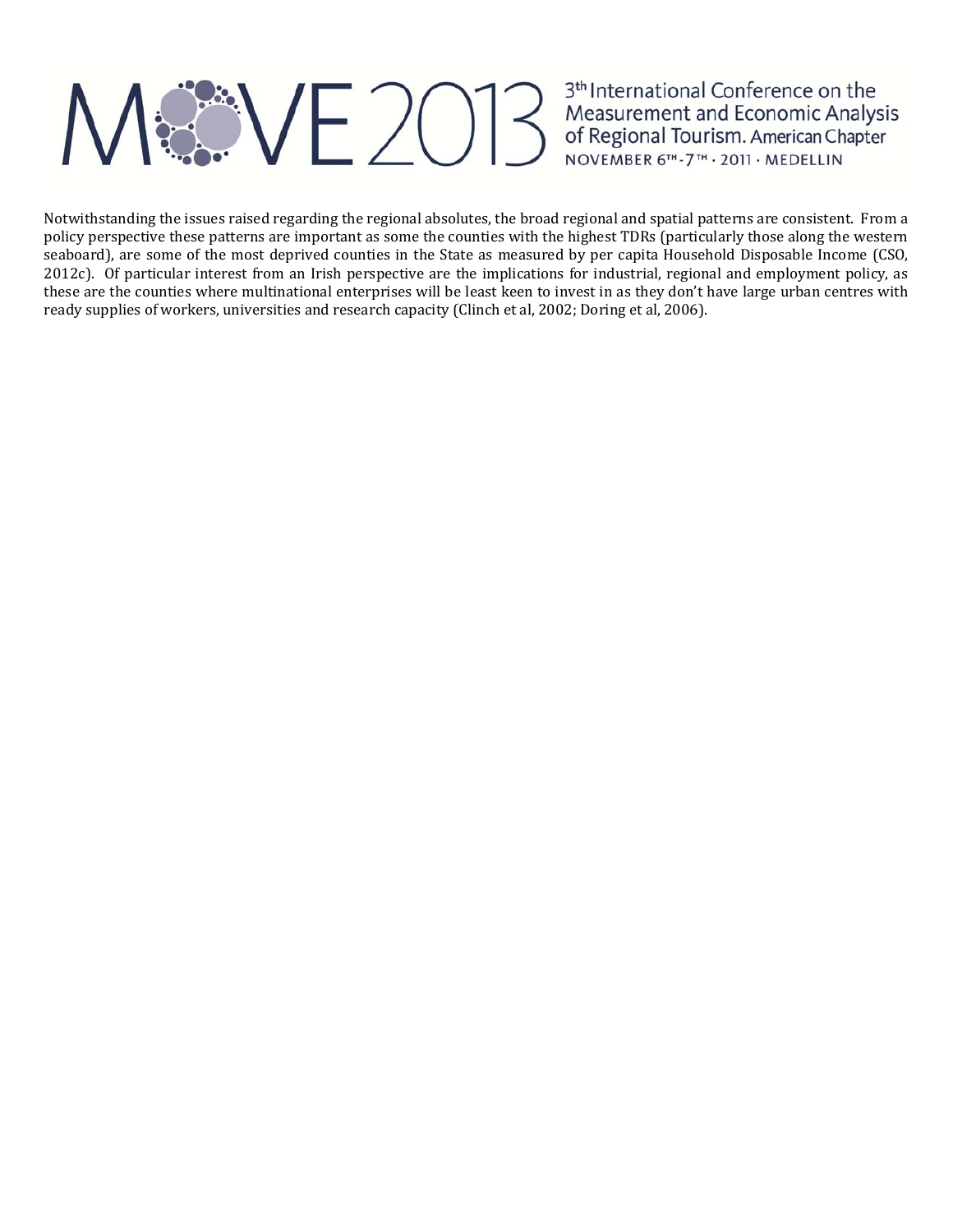## **EXVE2013**

3<sup>th</sup> International Conference on the<br>Measurement and Economic Analysis<br>of Regional Tourism. American Chapter<br>NOVEMBER 6<sup>TH</sup>-7<sup>TH</sup> · 2011 · MEDELLIN

Notwithstanding the issues raised regarding the regional absolutes, the broad regional and spatial patterns are consistent. From a policy perspective these patterns are important as some the counties with the highest TDRs (particularly those along the western seaboard), are some of the most deprived counties in the State as measured by per capita Household Disposable Income (CSO, 2012c). Of particular interest from an Irish perspective are the implications for industrial, regional and employment policy, as these are the counties where multinational enterprises will be least keen to invest in as they don't have large urban centres with ready supplies of workers, universities and research capacity (Clinch et al, 2002; Doring et al, 2006).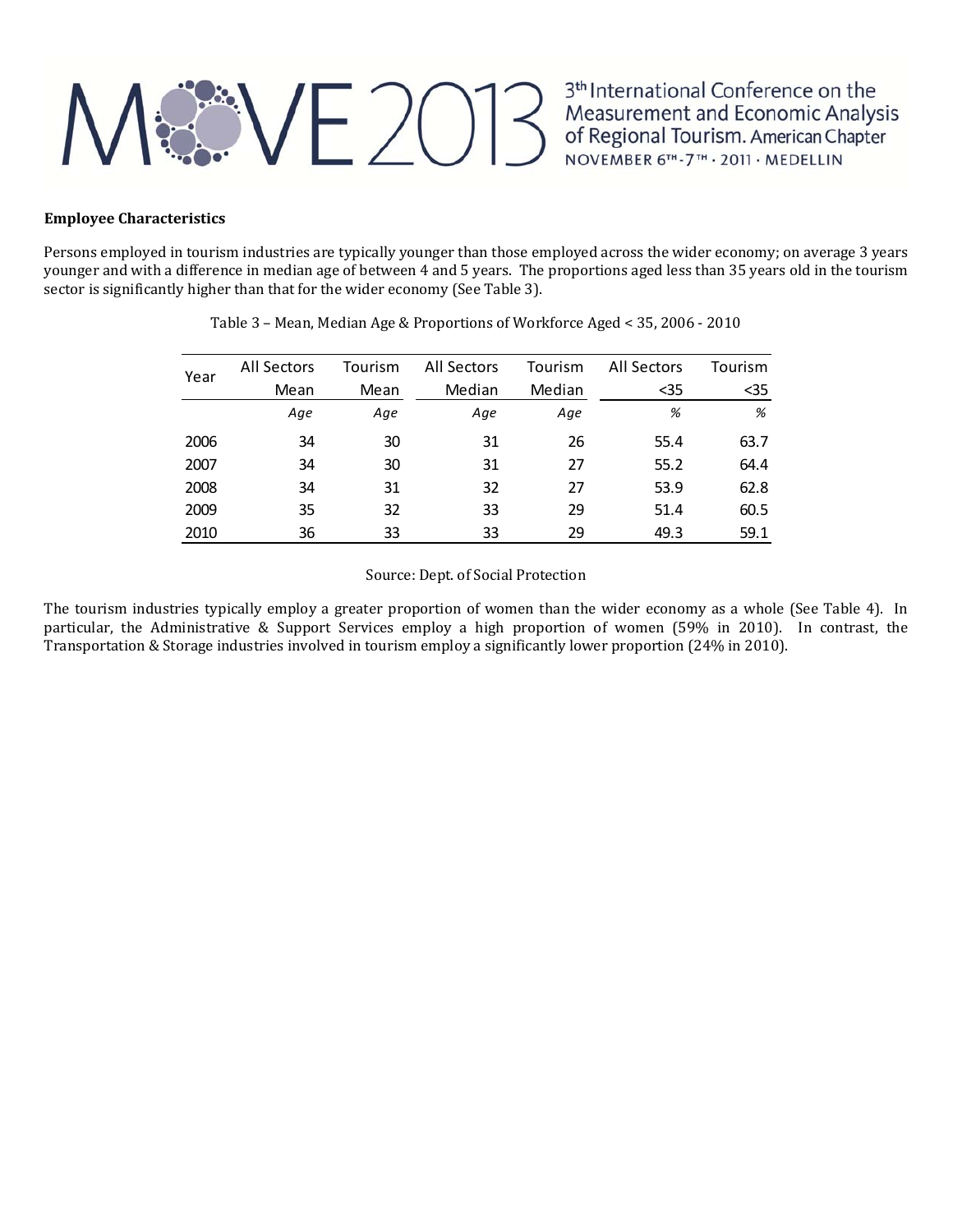### **RE 2013**

3<sup>th</sup> International Conference on the<br>Measurement and Economic Analysis<br>of Regional Tourism. American Chapter<br>NOVEMBER 6<sup>TH</sup>-7<sup>TH</sup> · 2011 · MEDELLIN

### **Employee Characteristics**

Persons employed in tourism industries are typically younger than those employed across the wider economy; on average 3 years younger and with a difference in median age of between 4 and 5 years. The proportions aged less than 35 years old in the tourism sector is significantly higher than that for the wider economy (See Table 3).

| Year | All Sectors | Tourism | All Sectors | Tourism | All Sectors | Tourism |
|------|-------------|---------|-------------|---------|-------------|---------|
|      | Mean        | Mean    | Median      | Median  | $35$        | $35$    |
|      | Age         | Age     | Age         | Age     | %           | %       |
| 2006 | 34          | 30      | 31          | 26      | 55.4        | 63.7    |
| 2007 | 34          | 30      | 31          | 27      | 55.2        | 64.4    |
| 2008 | 34          | 31      | 32          | 27      | 53.9        | 62.8    |
| 2009 | 35          | 32      | 33          | 29      | 51.4        | 60.5    |
| 2010 | 36          | 33      | 33          | 29      | 49.3        | 59.1    |

Table 3 - Mean, Median Age & Proportions of Workforce Aged < 35, 2006 - 2010

Source: Dept. of Social Protection

The tourism industries typically employ a greater proportion of women than the wider economy as a whole (See Table 4). In particular, the Administrative & Support Services employ a high proportion of women  $(59\%$  in 2010). In contrast, the Transportation & Storage industries involved in tourism employ a significantly lower proportion (24% in 2010).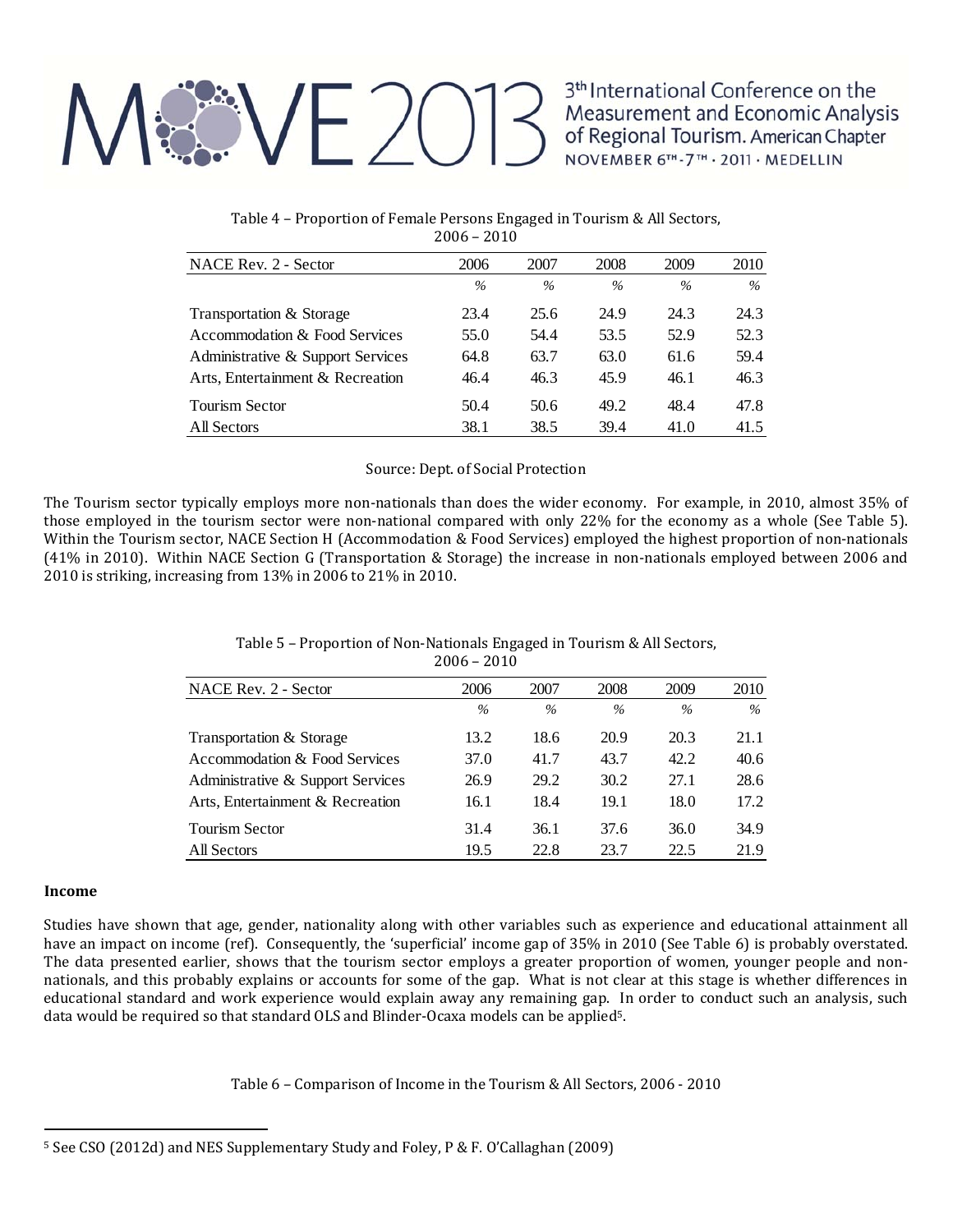## $M_{\odot}$  VE 2013

3<sup>th</sup> International Conference on the Measurement and Economic Analysis<br>of Regional Tourism. American Chapter<br>NOVEMBER 6<sup>TH</sup>-7<sup>TH</sup> · 2011 · MEDELLIN

| NACE Rev. 2 - Sector              | 2006 | 2007 | 2008 | 2009 | 2010 |
|-----------------------------------|------|------|------|------|------|
|                                   | $\%$ | $\%$ | $\%$ | $\%$ | $\%$ |
| Transportation & Storage          | 23.4 | 25.6 | 24.9 | 24.3 | 24.3 |
| Accommodation & Food Services     | 55.0 | 54.4 | 53.5 | 52.9 | 52.3 |
| Administrative & Support Services | 64.8 | 63.7 | 63.0 | 61.6 | 59.4 |
| Arts, Entertainment & Recreation  | 46.4 | 46.3 | 45.9 | 46.1 | 46.3 |
| <b>Tourism Sector</b>             | 50.4 | 50.6 | 49.2 | 48.4 | 47.8 |
| All Sectors                       | 38.1 | 38.5 | 39.4 | 41.0 | 41.5 |

Table 4 – Proportion of Female Persons Engaged in Tourism & All Sectors,  $2006 - 2010$ 

### Source: Dept. of Social Protection

The Tourism sector typically employs more non-nationals than does the wider economy. For example, in 2010, almost 35% of those employed in the tourism sector were non-national compared with only  $22\%$  for the economy as a whole (See Table 5). Within the Tourism sector, NACE Section H (Accommodation & Food Services) employed the highest proportion of non-nationals (41% in 2010). Within NACE Section G (Transportation & Storage) the increase in non-nationals employed between 2006 and 2010 is striking, increasing from  $13\%$  in 2006 to  $21\%$  in 2010.

### Table 5 – Proportion of Non-Nationals Engaged in Tourism & All Sectors,  $2006 - 2010$

| NACE Rev. 2 - Sector              | 2006 | 2007 | 2008 | 2009 | 2010 |
|-----------------------------------|------|------|------|------|------|
|                                   | $\%$ | $\%$ | $\%$ | $\%$ | $\%$ |
| Transportation & Storage          | 13.2 | 18.6 | 20.9 | 20.3 | 21.1 |
| Accommodation & Food Services     | 37.0 | 41.7 | 43.7 | 42.2 | 40.6 |
| Administrative & Support Services | 26.9 | 29.2 | 30.2 | 27.1 | 28.6 |
| Arts, Entertainment & Recreation  | 16.1 | 18.4 | 19.1 | 18.0 | 17.2 |
| <b>Tourism Sector</b>             | 31.4 | 36.1 | 37.6 | 36.0 | 34.9 |
| All Sectors                       | 19.5 | 22.8 | 23.7 | 22.5 | 21.9 |

### **Income**

Studies have shown that age, gender, nationality along with other variables such as experience and educational attainment all have an impact on income (ref). Consequently, the 'superficial' income gap of 35% in 2010 (See Table 6) is probably overstated. The data presented earlier, shows that the tourism sector employs a greater proportion of women, younger people and nonnationals, and this probably explains or accounts for some of the gap. What is not clear at this stage is whether differences in educational standard and work experience would explain away any remaining gap. In order to conduct such an analysis, such data would be required so that standard OLS and Blinder-Ocaxa models can be applied<sup>5</sup>.

Table 6 – Comparison of Income in the Tourism & All Sectors, 2006 - 2010

<sup>&</sup>lt;sup>5</sup> See CSO (2012d) and NES Supplementary Study and Foley, P & F. O'Callaghan (2009)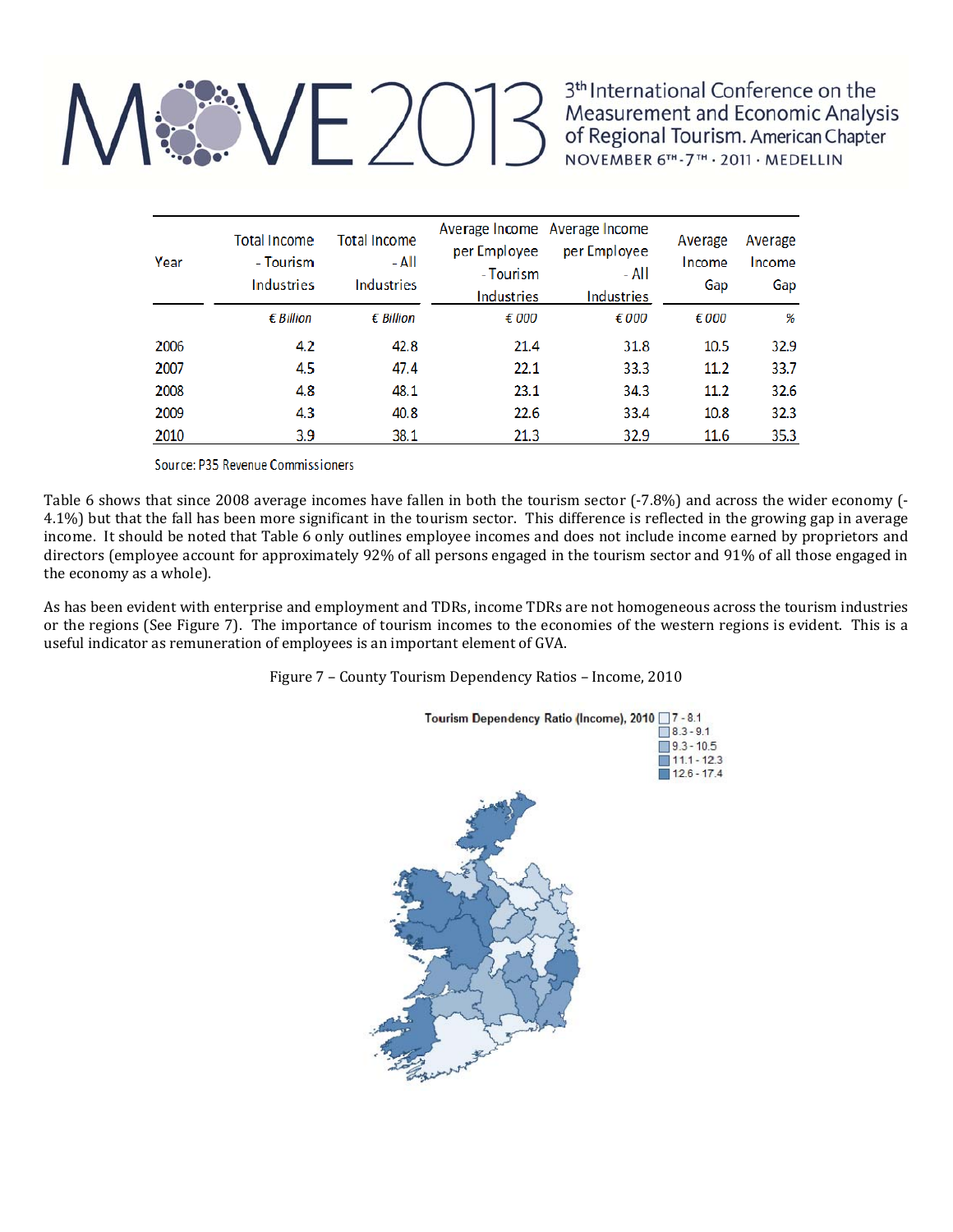# M&VE2013

3<sup>th</sup> International Conference on the Measurement and Economic Analysis of Regional Tourism. American Chapter<br>NOVEMBER 6<sup>TH</sup>-7<sup>TH</sup> · 2011 · MEDELLIN

| Year | <b>Total Income</b><br>- Tourism<br>Industries | <b>Total Income</b><br>- All<br><b>Industries</b> | per Employee<br>- Tourism<br><b>Industries</b> | Average Income Average Income<br>per Employee<br>- All<br><b>Industries</b> | Average<br>Income<br>Gap | Average<br>Income<br>Gap |
|------|------------------------------------------------|---------------------------------------------------|------------------------------------------------|-----------------------------------------------------------------------------|--------------------------|--------------------------|
|      | $\epsilon$ Billion                             | $\epsilon$ Billion                                | € 000                                          | € 000                                                                       | € 000                    | %                        |
| 2006 | 4.2                                            | 42.8                                              | 21.4                                           | 31.8                                                                        | 10.5                     | 32.9                     |
| 2007 | 4.5                                            | 47.4                                              | 22.1                                           | 33.3                                                                        | 11.2                     | 33.7                     |
| 2008 | 4.8                                            | 48.1                                              | 23.1                                           | 34.3                                                                        | 11.2                     | 32.6                     |
| 2009 | 4.3                                            | 40.8                                              | 22.6                                           | 33.4                                                                        | 10.8                     | 32.3                     |
| 2010 | 3.9                                            | 38.1                                              | 21.3                                           | 32.9                                                                        | 11.6                     | 35.3                     |

Source: P35 Revenue Commissioners

Table 6 shows that since 2008 average incomes have fallen in both the tourism sector  $(-7.8\%)$  and across the wider economy  $(-7.8\%)$ 4.1%) but that the fall has been more significant in the tourism sector. This difference is reflected in the growing gap in average income. It should be noted that Table 6 only outlines employee incomes and does not include income earned by proprietors and directors (employee account for approximately 92% of all persons engaged in the tourism sector and 91% of all those engaged in the economy as a whole).

As has been evident with enterprise and employment and TDRs, income TDRs are not homogeneous across the tourism industries or the regions (See Figure 7). The importance of tourism incomes to the economies of the western regions is evident. This is a useful indicator as remuneration of employees is an important element of GVA.

Figure 7 - County Tourism Dependency Ratios - Income, 2010

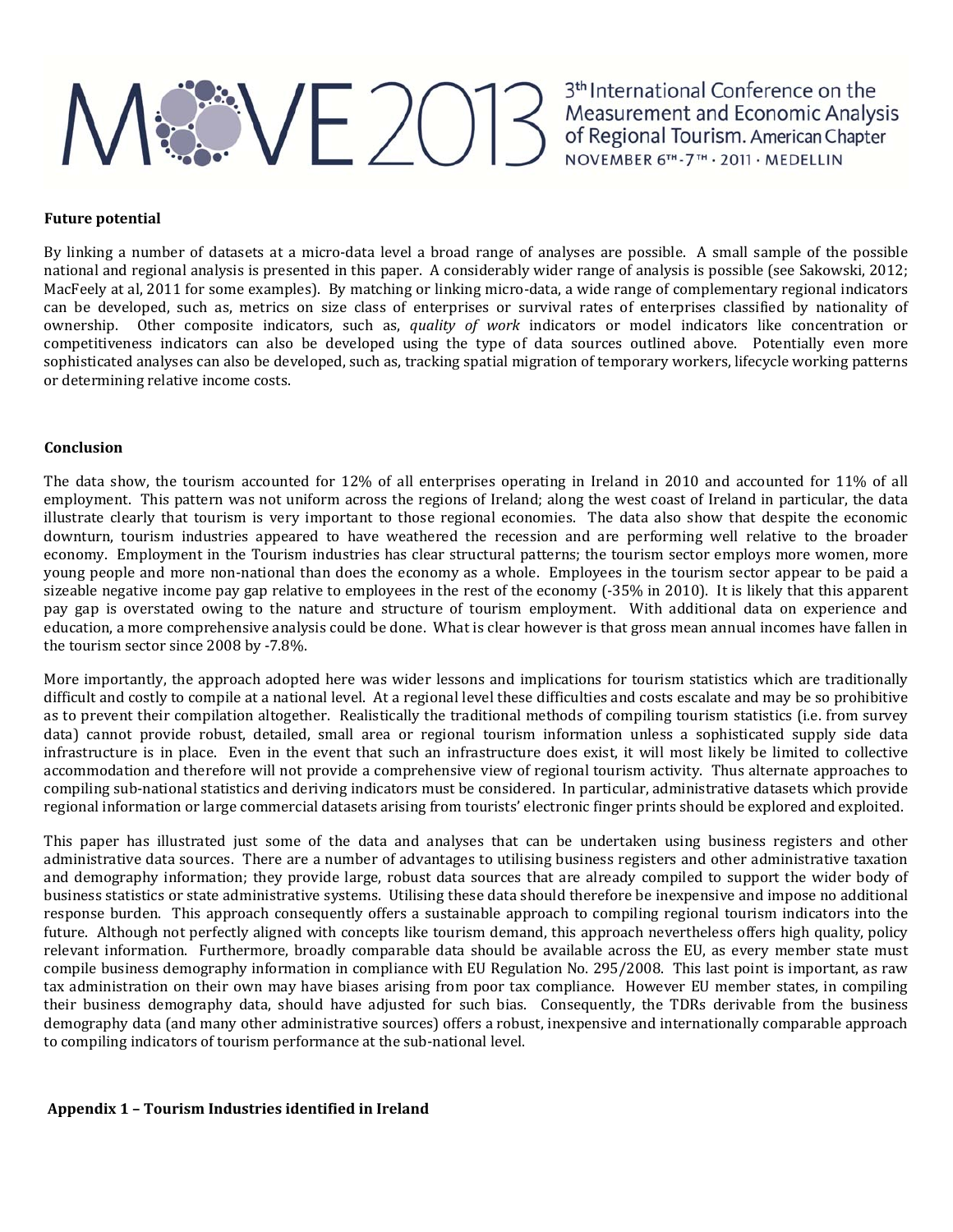## ME 2013<sup>3th</sup> International Conference on the<br>Measurement and Economic Analysis<br>of Regional Tourism. American Chapter<br>NOVEMBER 6<sup>TH</sup>-7<sup>TH</sup> - 2011 - MEDELLIN

### **Future potential**

By linking a number of datasets at a micro-data level a broad range of analyses are possible. A small sample of the possible national and regional analysis is presented in this paper. A considerably wider range of analysis is possible (see Sakowski, 2012; MacFeely at al, 2011 for some examples). By matching or linking micro-data, a wide range of complementary regional indicators can be developed, such as, metrics on size class of enterprises or survival rates of enterprises classified by nationality of ownership. Other composite indicators, such as, *quality of work* indicators or model indicators like concentration or competitiveness indicators can also be developed using the type of data sources outlined above. Potentially even more sophisticated analyses can also be developed, such as, tracking spatial migration of temporary workers, lifecycle working patterns or determining relative income costs.

#### **Conclusion**

The data show, the tourism accounted for  $12\%$  of all enterprises operating in Ireland in 2010 and accounted for 11% of all employment. This pattern was not uniform across the regions of Ireland; along the west coast of Ireland in particular, the data illustrate clearly that tourism is very important to those regional economies. The data also show that despite the economic downturn, tourism industries appeared to have weathered the recession and are performing well relative to the broader economy. Employment in the Tourism industries has clear structural patterns; the tourism sector employs more women, more young people and more non-national than does the economy as a whole. Employees in the tourism sector appear to be paid a sizeable negative income pay gap relative to employees in the rest of the economy  $(-35\%$  in 2010). It is likely that this apparent pay gap is overstated owing to the nature and structure of tourism employment. With additional data on experience and education, a more comprehensive analysis could be done. What is clear however is that gross mean annual incomes have fallen in the tourism sector since 2008 by -7.8%.

More importantly, the approach adopted here was wider lessons and implications for tourism statistics which are traditionally difficult and costly to compile at a national level. At a regional level these difficulties and costs escalate and may be so prohibitive as to prevent their compilation altogether. Realistically the traditional methods of compiling tourism statistics (i.e. from survey data) cannot provide robust, detailed, small area or regional tourism information unless a sophisticated supply side data infrastructure is in place. Even in the event that such an infrastructure does exist, it will most likely be limited to collective accommodation and therefore will not provide a comprehensive view of regional tourism activity. Thus alternate approaches to compiling sub-national statistics and deriving indicators must be considered. In particular, administrative datasets which provide regional information or large commercial datasets arising from tourists' electronic finger prints should be explored and exploited.

This paper has illustrated just some of the data and analyses that can be undertaken using business registers and other administrative data sources. There are a number of advantages to utilising business registers and other administrative taxation and demography information; they provide large, robust data sources that are already compiled to support the wider body of business statistics or state administrative systems. Utilising these data should therefore be inexpensive and impose no additional response burden. This approach consequently offers a sustainable approach to compiling regional tourism indicators into the future. Although not perfectly aligned with concepts like tourism demand, this approach nevertheless offers high quality, policy relevant information. Furthermore, broadly comparable data should be available across the EU, as every member state must compile business demography information in compliance with EU Regulation No. 295/2008. This last point is important, as raw tax administration on their own may have biases arising from poor tax compliance. However EU member states, in compiling their business demography data, should have adjusted for such bias. Consequently, the TDRs derivable from the business demography data (and many other administrative sources) offers a robust, inexpensive and internationally comparable approach to compiling indicators of tourism performance at the sub-national level.

### **Appendix 1 – Tourism Industries identified in Ireland**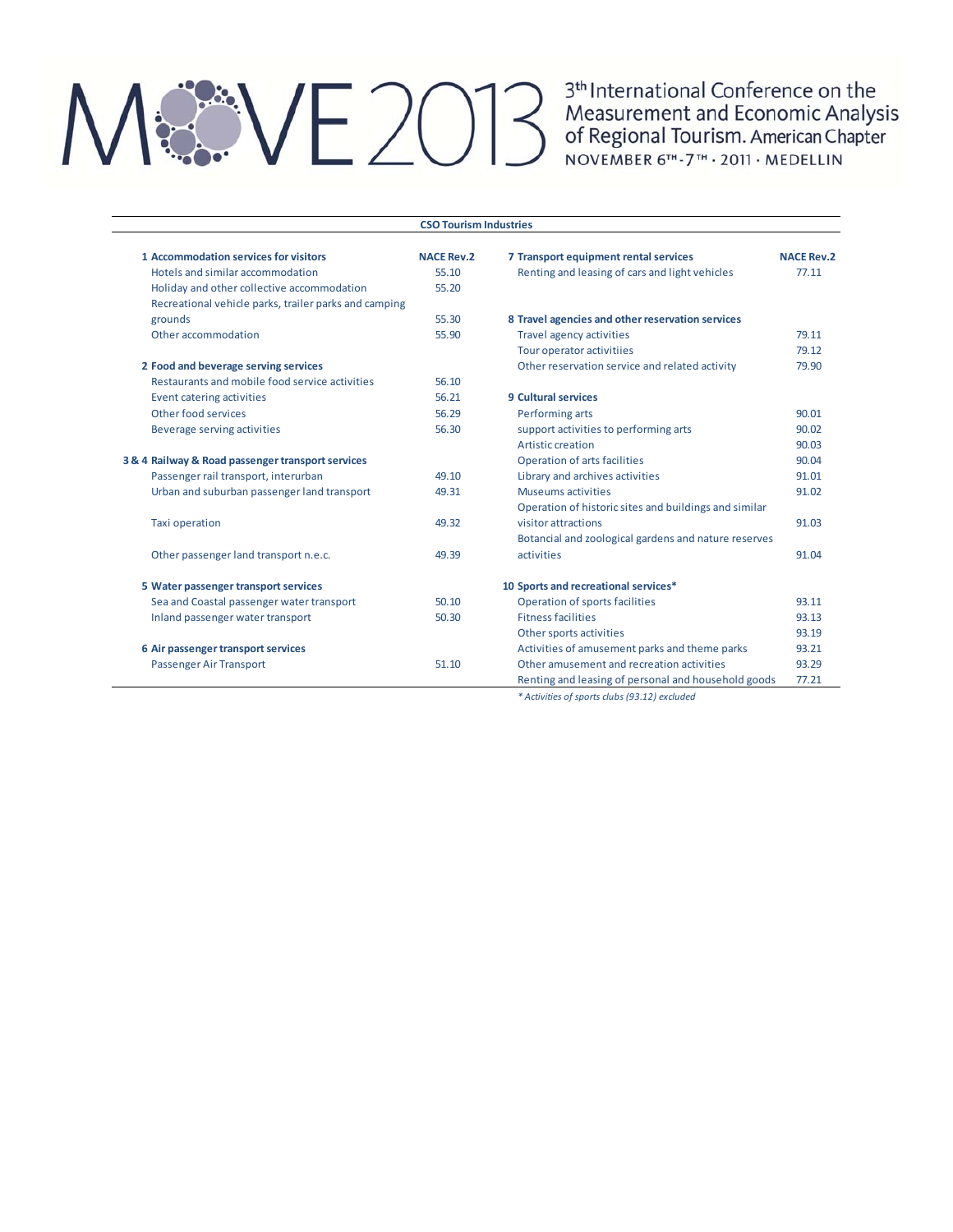## $|\mathcal{X} \setminus |-\rangle( )|$

3<sup>th</sup> International Conference on the Measurement and Economic Analysis of Regional Tourism. American Chapter NOVEMBER 6TH-7TH . 2011 . MEDELLIN

#### **1 Accommodation services for visitors NACE Rev.2 7 Transport equipment rental services NACE Rev.2** Hotels and similar accommodation 55.10 Renting and leasing of cars and light vehicles 77.11 Holiday and other collective accommodation 55.20 Recreational vehicle parks, trailer parks and camping grounds 55.30 **8 Travel agencies and otherreservation services** Other accommodation 679.11 Travel agency activities 79.11 Tour operator activitiies 79.12 **2 Food and beverage serving services because the contract of the reservation service and related activity 79.90** Restaurants and mobile food service activities 56.10 Event catering activities 56.21 **9 Cultural services** Other food services 30.01 and 56.29 Performing arts 90.01 Beverage serving activities 60.02 support activities to performing arts 56.02 support activities to performing arts  $90.02$ Artistic creation 90.03 **3** & 4 Railway & Road passenger transport services **by Eq. 3** Operation of arts facilities 90.04 Passenger rail transport, interurban 49.10 Library and archives activities 91.01 Urban and suburban passenger land transport 49.31 Museums activities 91.02 Taxi operation 49.32 Operation of historic sites and buildings and similar visitor attractions and the set of the set of the set of the set of the set of the set of the set of the set o Other passenger land transport n.e.c. 49.39 Botancial and zoological gardens and nature reserves activities 91.04 **5 Water passengertransportservices 10 Sports and recreational services\*** Sea and Coastal passenger water transport 50.10 Operation of sports facilities 93.11 Inland passenger water transport 60.30 Fitness facilities 693.13 Other sports activities 93.19 **6 Air passenger transport services Activities of amusement parks and theme parks** 93.21 Passenger Air Transport 51.10 Other amusement and recreation activities 93.29 Renting and leasing of personal and household goods 77.21 **CSO Tourism Industries**

*\* Activities of sports clubs (93.12) excluded*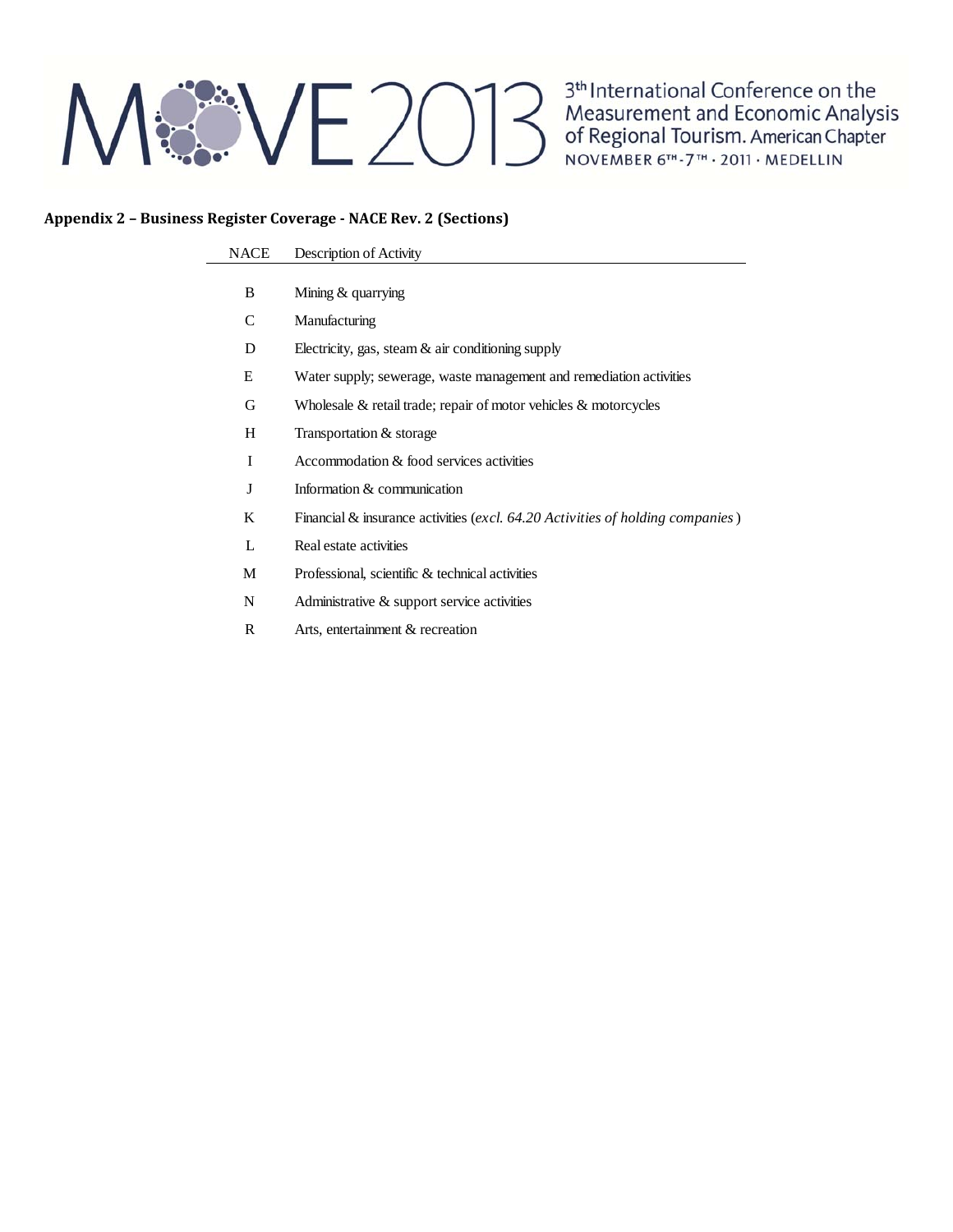## **REVE2013**

3<sup>th</sup> International Conference on the<br>Measurement and Economic Analysis<br>of Regional Tourism. American Chapter NOVEMBER 6TH-7TH · 2011 · MEDELLIN

### **Appendix 2 – Business Register Coverage ‐ NACE Rev. 2 (Sections)**

#### NACE Description of Activity

- B Mining & quarrying
- C Manufacturing
- D Electricity, gas, steam & air conditioning supply
- E Water supply; sewerage, waste management and remediation activities
- G Wholesale & retail trade; repair of motor vehicles & motorcycles
- H Transportation & storage
- I Accommodation & food services activities
- J Information & communication
- K Financial & insurance activities (*excl. 64.20 Activities of holding companies*)
- L Real estate activities
- M Professional, scientific & technical activities
- N Administrative & support service activities
- R Arts, entertainment & recreation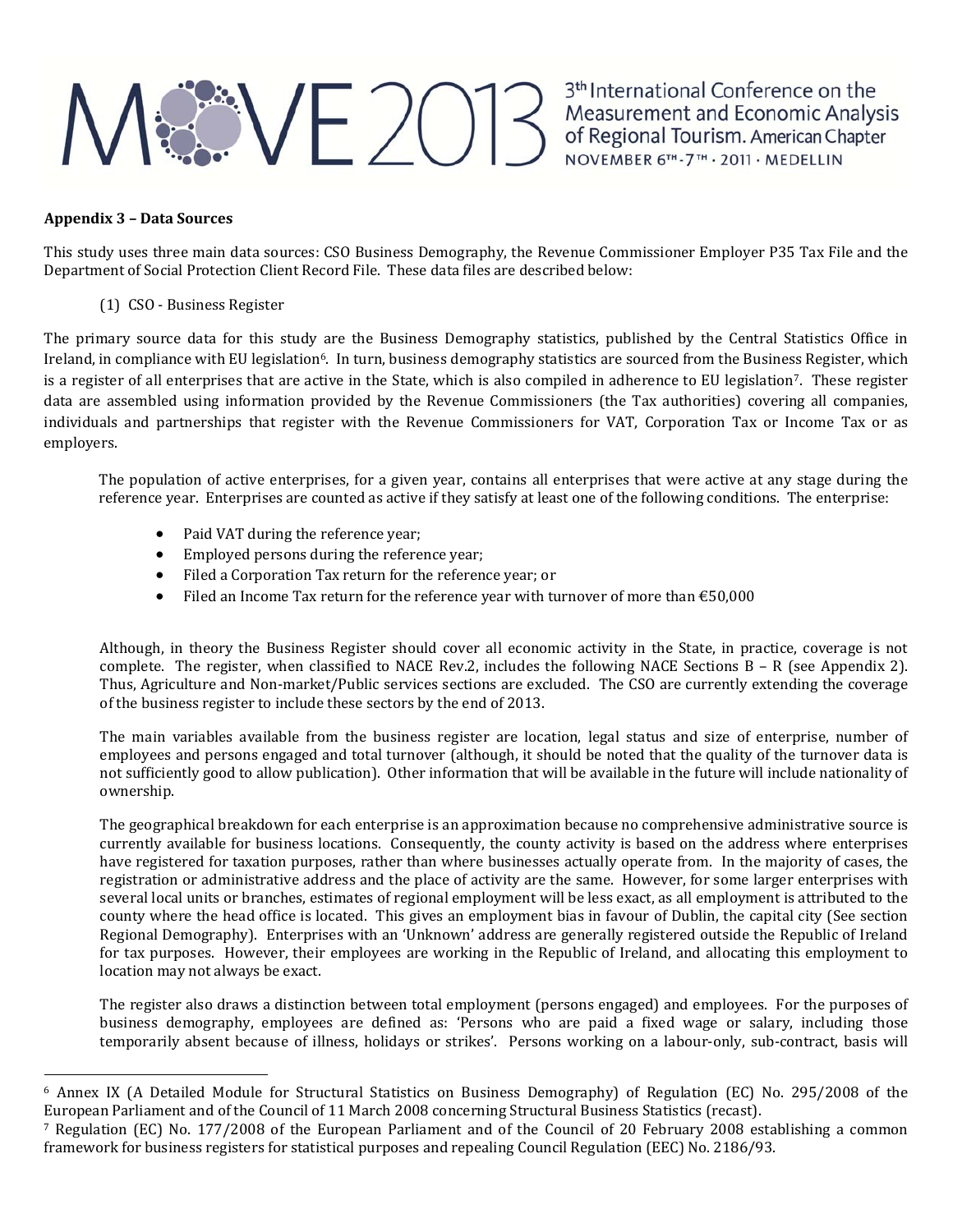## ME 2013 Measurement and Economic Analysis<br>of Regional Tourism. American Chapter<br>NOVEMBER 6TH-7TH - 2011 - MEDELLIN

### **Appendix 3 – Data Sources**

This study uses three main data sources: CSO Business Demography, the Revenue Commissioner Employer P35 Tax File and the Department of Social Protection Client Record File. These data files are described below:

(1) CSO - Business Register

The primary source data for this study are the Business Demography statistics, published by the Central Statistics Office in Ireland, in compliance with EU legislation<sup>6</sup>. In turn, business demography statistics are sourced from the Business Register, which is a register of all enterprises that are active in the State, which is also compiled in adherence to EU legislation<sup>7</sup>. These register data are assembled using information provided by the Revenue Commissioners (the Tax authorities) covering all companies, individuals and partnerships that register with the Revenue Commissioners for VAT, Corporation Tax or Income Tax or as employers. 

The population of active enterprises, for a given year, contains all enterprises that were active at any stage during the reference year. Enterprises are counted as active if they satisfy at least one of the following conditions. The enterprise:

- Paid VAT during the reference vear:
- Employed persons during the reference year;
- Filed a Corporation Tax return for the reference year; or
- Filed an Income Tax return for the reference year with turnover of more than  $\text{\textsterling}50,000$

Although, in theory the Business Register should cover all economic activity in the State, in practice, coverage is not complete. The register, when classified to NACE Rev.2, includes the following NACE Sections  $B - R$  (see Appendix 2). Thus, Agriculture and Non-market/Public services sections are excluded. The CSO are currently extending the coverage of the business register to include these sectors by the end of 2013.

The main variables available from the business register are location, legal status and size of enterprise, number of employees and persons engaged and total turnover (although, it should be noted that the quality of the turnover data is not sufficiently good to allow publication). Other information that will be available in the future will include nationality of ownership. 

The geographical breakdown for each enterprise is an approximation because no comprehensive administrative source is currently available for business locations. Consequently, the county activity is based on the address where enterprises have registered for taxation purposes, rather than where businesses actually operate from. In the majority of cases, the registration or administrative address and the place of activity are the same. However, for some larger enterprises with several local units or branches, estimates of regional employment will be less exact, as all employment is attributed to the county where the head office is located. This gives an employment bias in favour of Dublin, the capital city (See section Regional Demography). Enterprises with an 'Unknown' address are generally registered outside the Republic of Ireland for tax purposes. However, their employees are working in the Republic of Ireland, and allocating this employment to location may not always be exact.

The register also draws a distinction between total employment (persons engaged) and employees. For the purposes of business demography, employees are defined as: 'Persons who are paid a fixed wage or salary, including those temporarily absent because of illness, holidays or strikes'. Persons working on a labour-only, sub-contract, basis will

 $6$  Annex IX (A Detailed Module for Structural Statistics on Business Demography) of Regulation (EC) No. 295/2008 of the European Parliament and of the Council of 11 March 2008 concerning Structural Business Statistics (recast).

<sup>&</sup>lt;sup>7</sup> Regulation (EC) No. 177/2008 of the European Parliament and of the Council of 20 February 2008 establishing a common framework for business registers for statistical purposes and repealing Council Regulation (EEC) No. 2186/93.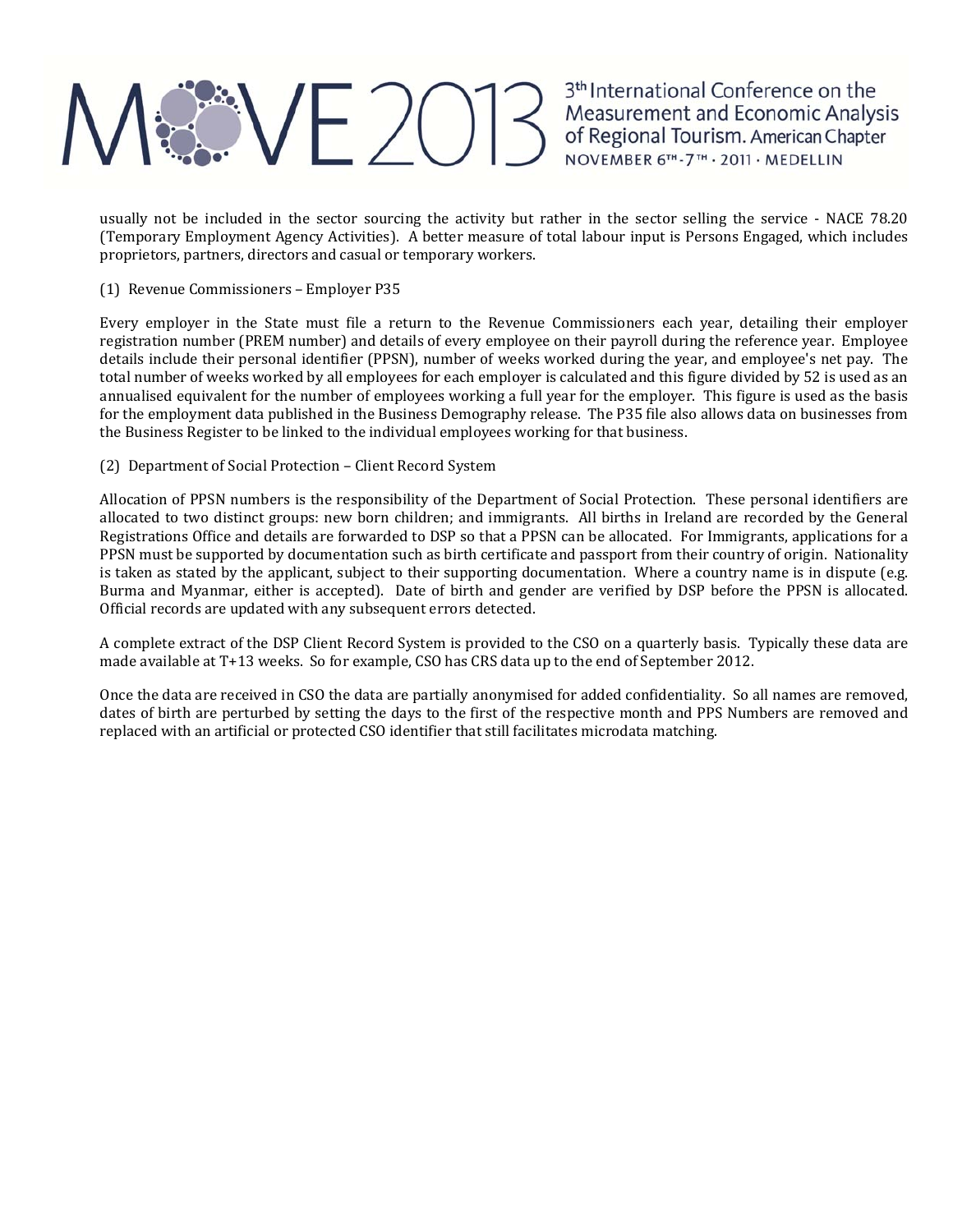## ME 2013 Measurement and Economic Analysis<br>of Regional Tourism. American Chapter<br>NOVEMBER 6TH-7TH - 2011 - MEDELLIN

usually not be included in the sector sourcing the activity but rather in the sector selling the service - NACE 78.20 (Temporary Employment Agency Activities). A better measure of total labour input is Persons Engaged, which includes proprietors, partners, directors and casual or temporary workers.

(1) Revenue Commissioners – Employer P35

Every employer in the State must file a return to the Revenue Commissioners each year, detailing their employer registration number (PREM number) and details of every employee on their payroll during the reference year. Employee details include their personal identifier (PPSN), number of weeks worked during the year, and employee's net pay. The total number of weeks worked by all employees for each employer is calculated and this figure divided by 52 is used as an annualised equivalent for the number of employees working a full year for the employer. This figure is used as the basis for the employment data published in the Business Demography release. The P35 file also allows data on businesses from the Business Register to be linked to the individual employees working for that business.

(2) Department of Social Protection – Client Record System

Allocation of PPSN numbers is the responsibility of the Department of Social Protection. These personal identifiers are allocated to two distinct groups: new born children; and immigrants. All births in Ireland are recorded by the General Registrations Office and details are forwarded to DSP so that a PPSN can be allocated. For Immigrants, applications for a PPSN must be supported by documentation such as birth certificate and passport from their country of origin. Nationality is taken as stated by the applicant, subject to their supporting documentation. Where a country name is in dispute (e.g. Burma and Myanmar, either is accepted). Date of birth and gender are verified by DSP before the PPSN is allocated. Official records are updated with any subsequent errors detected.

A complete extract of the DSP Client Record System is provided to the CSO on a quarterly basis. Typically these data are made available at T+13 weeks. So for example, CSO has CRS data up to the end of September 2012.

Once the data are received in CSO the data are partially anonymised for added confidentiality. So all names are removed, dates of birth are perturbed by setting the days to the first of the respective month and PPS Numbers are removed and replaced with an artificial or protected CSO identifier that still facilitates microdata matching.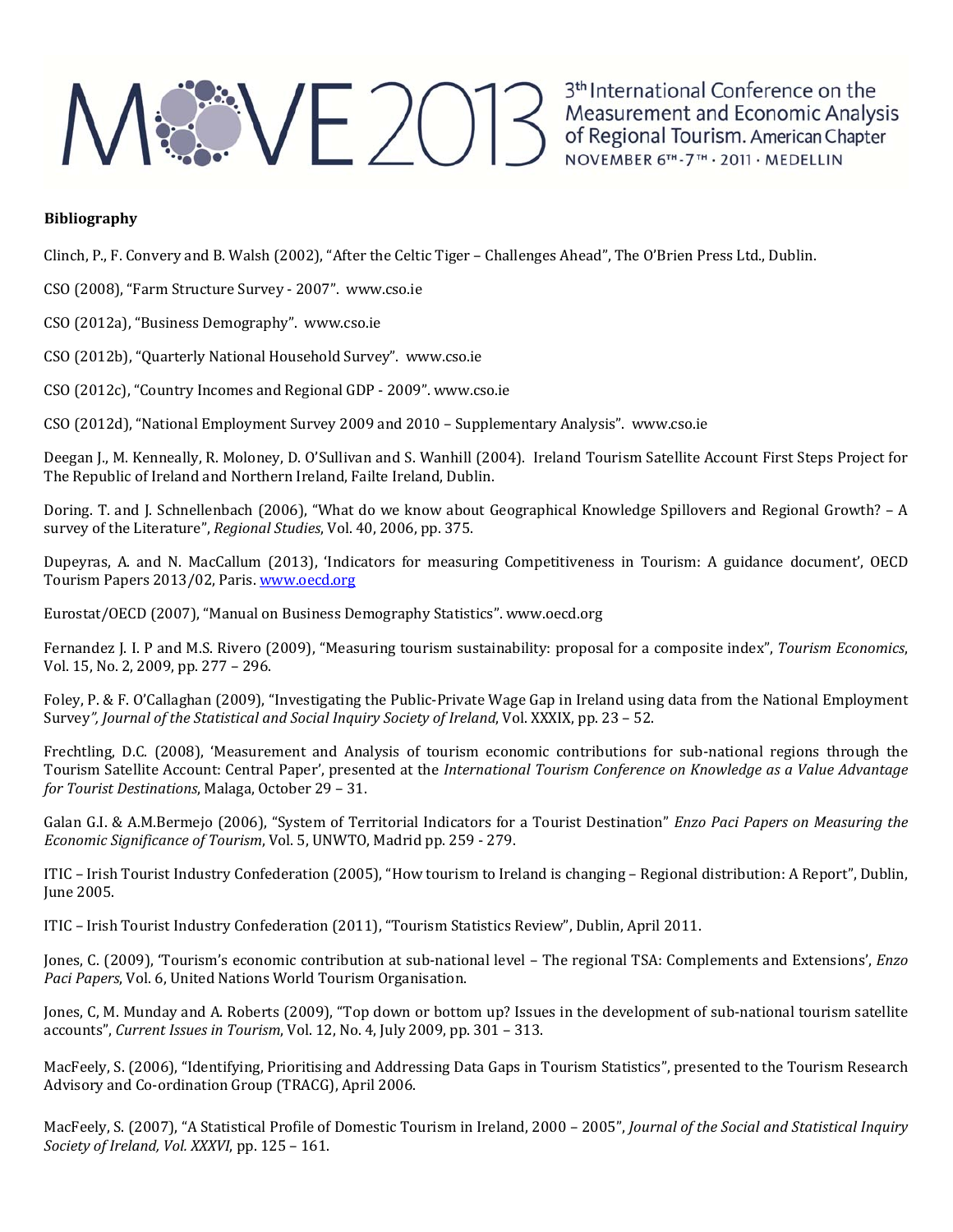## ME 2013<sup>th</sup> International Conference on the<br>Measurement and Economic Analysis<br>of Regional Tourism. American Chapter<br>NOVEMBER 6TL-7TL-2011: MEDELLIN

3<sup>th</sup> International Conference on the NOVEMBER 6TH-7TH · 2011 · MEDELLIN

### **Bibliography**

Clinch, P., F. Convery and B. Walsh (2002), "After the Celtic Tiger – Challenges Ahead", The O'Brien Press Ltd., Dublin.

CSO (2008), "Farm Structure Survey - 2007". www.cso.ie

CSO (2012a), "Business Demography". www.cso.ie

CSO (2012b), "Quarterly National Household Survey". www.cso.ie

CSO (2012c), "Country Incomes and Regional GDP - 2009". www.cso.ie

CSO (2012d), "National Employment Survey 2009 and 2010 – Supplementary Analysis". www.cso.ie

Deegan J., M. Kenneally, R. Moloney, D. O'Sullivan and S. Wanhill (2004). Ireland Tourism Satellite Account First Steps Project for The Republic of Ireland and Northern Ireland, Failte Ireland, Dublin.

Doring. T. and J. Schnellenbach (2006), "What do we know about Geographical Knowledge Spillovers and Regional Growth? – A survey of the Literature", *Regional Studies*, Vol. 40, 2006, pp. 375.

Dupeyras, A. and N. MacCallum (2013), 'Indicators for measuring Competitiveness in Tourism: A guidance document', OECD Tourism Papers 2013/02, Paris. www.oecd.org

Eurostat/OECD (2007), "Manual on Business Demography Statistics". www.oecd.org

Fernandez J. I. P and M.S. Rivero (2009), "Measuring tourism sustainability: proposal for a composite index", *Tourism Economics*, Vol. 15, No. 2, 2009, pp. 277 - 296.

Foley, P. & F. O'Callaghan (2009), "Investigating the Public-Private Wage Gap in Ireland using data from the National Employment Survey*", Journal of the Statistical and Social Inquiry Society of Ireland*, Vol. XXXIX, pp. 23 – 52. 

Frechtling, D.C. (2008), 'Measurement and Analysis of tourism economic contributions for sub-national regions through the Tourism Satellite Account: Central Paper', presented at the *International Tourism Conference on Knowledge as a Value Advantage for Tourist Destinations*, Malaga, October 29 - 31.

Galan G.I. & A.M.Bermejo (2006), "System of Territorial Indicators for a Tourist Destination" *Enzo Paci Papers on Measuring the Economic Significance of Tourism*, Vol. 5, UNWTO, Madrid pp. 259 ‐ 279. 

ITIC – Irish Tourist Industry Confederation (2005), "How tourism to Ireland is changing – Regional distribution: A Report", Dublin, **June 2005.** 

ITIC - Irish Tourist Industry Confederation (2011), "Tourism Statistics Review", Dublin, April 2011.

Jones, C. (2009), 'Tourism's economic contribution at sub-national level – The regional TSA: Complements and Extensions', *Enzo Paci Papers*, Vol. 6, United Nations World Tourism Organisation.

Jones, C, M. Munday and A. Roberts (2009), "Top down or bottom up? Issues in the development of sub-national tourism satellite accounts", *Current Issues in Tourism*, Vol. 12, No. 4, July 2009, pp. 301 - 313.

MacFeely, S. (2006), "Identifying, Prioritising and Addressing Data Gaps in Tourism Statistics", presented to the Tourism Research Advisory and Co-ordination Group (TRACG), April 2006.

MacFeely, S. (2007), "A Statistical Profile of Domestic Tourism in Ireland, 2000 - 2005", Journal of the Social and Statistical Inquiry *Society of Ireland, Vol. XXXVI*, pp. 125 - 161.